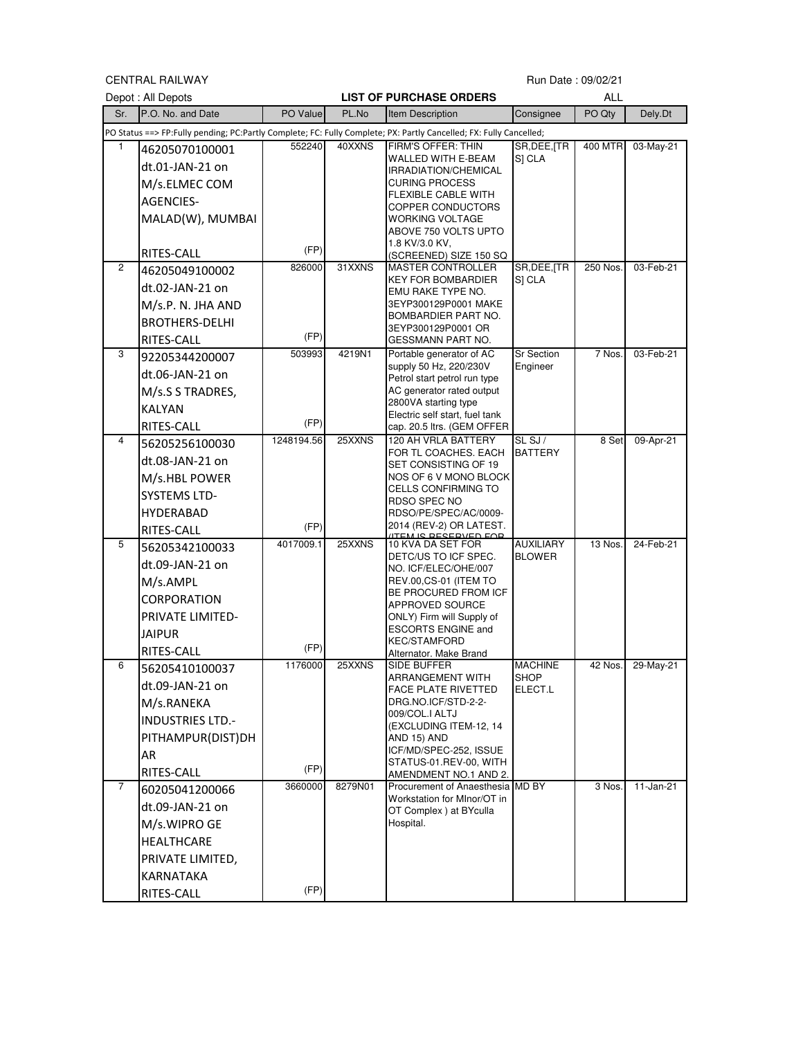CENTRAL RAILWAY

## Run Date: 09/02/21

|     | Depot : All Depots      |            |         | <b>LIST OF PURCHASE ORDERS</b>                                                                                     |                        | <b>ALL</b> |              |
|-----|-------------------------|------------|---------|--------------------------------------------------------------------------------------------------------------------|------------------------|------------|--------------|
| Sr. | P.O. No. and Date       | PO Value   | PL.No   | Item Description                                                                                                   | Consignee              | PO Qty     | Dely.Dt      |
|     |                         |            |         | PO Status ==> FP:Fully pending; PC:Partly Complete; FC: Fully Complete; PX: Partly Cancelled; FX: Fully Cancelled; |                        |            |              |
|     | 46205070100001          | 552240     | 40XXNS  | FIRM'S OFFER: THIN                                                                                                 | SR, DEE, [TR           | 400 MTR    | 03-May-21    |
|     | dt.01-JAN-21 on         |            |         | WALLED WITH E-BEAM<br>IRRADIATION/CHEMICAL                                                                         | S] CLA                 |            |              |
|     | M/s.ELMEC COM           |            |         | <b>CURING PROCESS</b>                                                                                              |                        |            |              |
|     | <b>AGENCIES-</b>        |            |         | FLEXIBLE CABLE WITH<br>COPPER CONDUCTORS                                                                           |                        |            |              |
|     | MALAD(W), MUMBAI        |            |         | WORKING VOLTAGE                                                                                                    |                        |            |              |
|     |                         |            |         | ABOVE 750 VOLTS UPTO                                                                                               |                        |            |              |
|     | RITES-CALL              | (FP)       |         | 1.8 KV/3.0 KV,<br>(SCREENED) SIZE 150 SQ                                                                           |                        |            |              |
| 2   | 46205049100002          | 826000     | 31XXNS  | <b>MASTER CONTROLLER</b>                                                                                           | SR, DEE, [TR           | 250 Nos.   | 03-Feb-21    |
|     | dt.02-JAN-21 on         |            |         | KEY FOR BOMBARDIER<br>EMU RAKE TYPE NO.                                                                            | SI CLA                 |            |              |
|     | M/s.P. N. JHA AND       |            |         | 3EYP300129P0001 MAKE                                                                                               |                        |            |              |
|     | <b>BROTHERS-DELHI</b>   |            |         | BOMBARDIER PART NO.<br>3EYP300129P0001 OR                                                                          |                        |            |              |
|     | RITES-CALL              | (FP)       |         | GESSMANN PART NO.                                                                                                  |                        |            |              |
| 3   | 92205344200007          | 503993     | 4219N1  | Portable generator of AC                                                                                           | <b>Sr Section</b>      | 7 Nos.     | 03-Feb-21    |
|     | dt.06-JAN-21 on         |            |         | supply 50 Hz, 220/230V<br>Petrol start petrol run type                                                             | Engineer               |            |              |
|     | M/s.S S TRADRES,        |            |         | AC generator rated output                                                                                          |                        |            |              |
|     | <b>KALYAN</b>           |            |         | 2800VA starting type<br>Electric self start, fuel tank                                                             |                        |            |              |
|     | RITES-CALL              | (FP)       |         | cap. 20.5 ltrs. (GEM OFFER                                                                                         |                        |            |              |
| 4   | 56205256100030          | 1248194.56 | 25XXNS  | 120 AH VRLA BATTERY                                                                                                | SL SJ/                 | 8 Set      | 09-Apr-21    |
|     | dt.08-JAN-21 on         |            |         | FOR TL COACHES. EACH<br>SET CONSISTING OF 19                                                                       | <b>BATTERY</b>         |            |              |
|     | M/s.HBL POWER           |            |         | NOS OF 6 V MONO BLOCK                                                                                              |                        |            |              |
|     | <b>SYSTEMS LTD-</b>     |            |         | CELLS CONFIRMING TO                                                                                                |                        |            |              |
|     | <b>HYDERABAD</b>        |            |         | RDSO SPEC NO<br>RDSO/PE/SPEC/AC/0009-                                                                              |                        |            |              |
|     | RITES-CALL              | (FP)       |         | 2014 (REV-2) OR LATEST.                                                                                            |                        |            |              |
| 5   | 56205342100033          | 4017009.1  | 25XXNS  | <b>ITEM IC DECEDVED EAD</b><br>10 KVA DA SET FOR                                                                   | <b>AUXILIARY</b>       | 13 Nos.    | 24-Feb-21    |
|     | dt.09-JAN-21 on         |            |         | DETC/US TO ICF SPEC.<br>NO. ICF/ELEC/OHE/007                                                                       | <b>BLOWER</b>          |            |              |
|     | M/s.AMPL                |            |         | REV.00,CS-01 (ITEM TO                                                                                              |                        |            |              |
|     | CORPORATION             |            |         | BE PROCURED FROM ICF<br><b>APPROVED SOURCE</b>                                                                     |                        |            |              |
|     | PRIVATE LIMITED-        |            |         | ONLY) Firm will Supply of                                                                                          |                        |            |              |
|     | <b>JAIPUR</b>           |            |         | <b>ESCORTS ENGINE and</b>                                                                                          |                        |            |              |
|     | RITES-CALL              | (FP)       |         | KEC/STAMFORD<br>Alternator. Make Brand                                                                             |                        |            |              |
| 6   | 56205410100037          | 1176000    | 25XXNS  | SIDE BUFFER                                                                                                        | <b>MACHINE</b>         | 42 Nos.    | 29-May-21    |
|     | dt.09-JAN-21 on         |            |         | ARRANGEMENT WITH<br>FACE PLATE RIVETTED                                                                            | <b>SHOP</b><br>ELECT.L |            |              |
|     | M/s.RANEKA              |            |         | DRG.NO.ICF/STD-2-2-                                                                                                |                        |            |              |
|     | <b>INDUSTRIES LTD.-</b> |            |         | 009/COL.I ALTJ                                                                                                     |                        |            |              |
|     | PITHAMPUR(DIST)DH       |            |         | (EXCLUDING ITEM-12, 14<br>AND 15) AND                                                                              |                        |            |              |
|     | AR                      |            |         | ICF/MD/SPEC-252, ISSUE                                                                                             |                        |            |              |
|     | RITES-CALL              | (FP)       |         | STATUS-01.REV-00, WITH<br>AMENDMENT NO.1 AND 2.                                                                    |                        |            |              |
| 7   | 60205041200066          | 3660000    | 8279N01 | Procurement of Anaesthesia MD BY                                                                                   |                        | 3 Nos.     | $11$ -Jan-21 |
|     | dt.09-JAN-21 on         |            |         | Workstation for MInor/OT in<br>OT Complex ) at BYculla                                                             |                        |            |              |
|     | M/s.WIPRO GE            |            |         | Hospital.                                                                                                          |                        |            |              |
|     | HEALTHCARE              |            |         |                                                                                                                    |                        |            |              |
|     | PRIVATE LIMITED,        |            |         |                                                                                                                    |                        |            |              |
|     | KARNATAKA               |            |         |                                                                                                                    |                        |            |              |
|     | RITES-CALL              | (FP)       |         |                                                                                                                    |                        |            |              |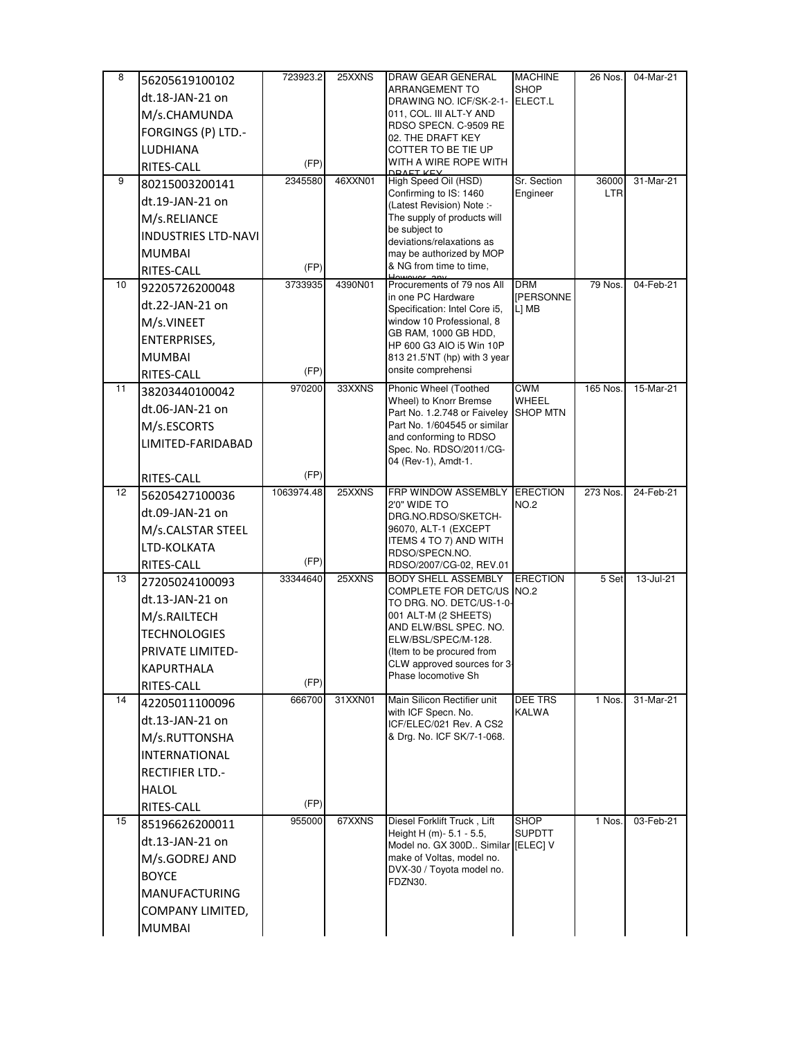| 8  | 56205619100102                       | 723923.2   | 25XXNS  | DRAW GEAR GENERAL                                                 | <b>MACHINE</b>                 | 26 Nos.  | 04-Mar-21 |
|----|--------------------------------------|------------|---------|-------------------------------------------------------------------|--------------------------------|----------|-----------|
|    | dt.18-JAN-21 on                      |            |         | ARRANGEMENT TO<br>DRAWING NO. ICF/SK-2-1-                         | <b>SHOP</b><br>ELECT.L         |          |           |
|    | M/s.CHAMUNDA                         |            |         | 011, COL. III ALT-Y AND                                           |                                |          |           |
|    | FORGINGS (P) LTD.-                   |            |         | RDSO SPECN. C-9509 RE                                             |                                |          |           |
|    | <b>LUDHIANA</b>                      |            |         | 02. THE DRAFT KEY<br>COTTER TO BE TIE UP                          |                                |          |           |
|    | RITES-CALL                           | (FP)       |         | WITH A WIRE ROPE WITH<br>DRAET KEV                                |                                |          |           |
| 9  | 80215003200141                       | 2345580    | 46XXN01 | High Speed Oil (HSD)                                              | Sr. Section                    | 36000    | 31-Mar-21 |
|    | dt.19-JAN-21 on                      |            |         | Confirming to IS: 1460<br>(Latest Revision) Note :-               | Engineer                       | LTR      |           |
|    | M/s.RELIANCE                         |            |         | The supply of products will                                       |                                |          |           |
|    | <b>INDUSTRIES LTD-NAVI</b>           |            |         | be subject to<br>deviations/relaxations as                        |                                |          |           |
|    | <b>MUMBAI</b>                        |            |         | may be authorized by MOP                                          |                                |          |           |
|    | RITES-CALL                           | (FP)       |         | & NG from time to time.                                           |                                |          |           |
| 10 | 92205726200048                       | 3733935    | 4390N01 | Procurements of 79 nos All<br>in one PC Hardware                  | <b>DRM</b><br><b>IPERSONNE</b> | 79 Nos.  | 04-Feb-21 |
|    | dt.22-JAN-21 on                      |            |         | Specification: Intel Core i5,                                     | L] MB                          |          |           |
|    | M/s.VINEET                           |            |         | window 10 Professional, 8<br>GB RAM, 1000 GB HDD,                 |                                |          |           |
|    | <b>ENTERPRISES,</b>                  |            |         | HP 600 G3 AIO i5 Win 10P                                          |                                |          |           |
|    | <b>MUMBAI</b>                        |            |         | 813 21.5'NT (hp) with 3 year                                      |                                |          |           |
|    | RITES-CALL                           | (FP)       |         | onsite comprehensi                                                |                                |          |           |
| 11 | 38203440100042                       | 970200     | 33XXNS  | Phonic Wheel (Toothed<br>Wheel) to Knorr Bremse                   | <b>CWM</b><br>WHEEL            | 165 Nos. | 15-Mar-21 |
|    | dt.06-JAN-21 on                      |            |         | Part No. 1.2.748 or Faiveley                                      | <b>SHOP MTN</b>                |          |           |
|    | M/s.ESCORTS                          |            |         | Part No. 1/604545 or similar<br>and conforming to RDSO            |                                |          |           |
|    | LIMITED-FARIDABAD                    |            |         | Spec. No. RDSO/2011/CG-                                           |                                |          |           |
|    |                                      | (FP)       |         | 04 (Rev-1), Amdt-1.                                               |                                |          |           |
| 12 | <b>RITES-CALL</b>                    | 1063974.48 | 25XXNS  | FRP WINDOW ASSEMBLY                                               | <b>ERECTION</b>                | 273 Nos. | 24-Feb-21 |
|    | 56205427100036                       |            |         | 2'0" WIDE TO                                                      | <b>NO.2</b>                    |          |           |
|    | dt.09-JAN-21 on<br>M/s.CALSTAR STEEL |            |         | DRG.NO.RDSO/SKETCH-<br>96070, ALT-1 (EXCEPT                       |                                |          |           |
|    | LTD-KOLKATA                          |            |         | ITEMS 4 TO 7) AND WITH                                            |                                |          |           |
|    | RITES-CALL                           | (FP)       |         | RDSO/SPECN.NO.<br>RDSO/2007/CG-02, REV.01                         |                                |          |           |
| 13 | 27205024100093                       | 33344640   | 25XXNS  | <b>BODY SHELL ASSEMBLY</b>                                        | <b>ERECTION</b>                | 5 Set    | 13-Jul-21 |
|    | dt.13-JAN-21 on                      |            |         | COMPLETE FOR DETC/US NO.2                                         |                                |          |           |
|    | M/s.RAILTECH                         |            |         | TO DRG. NO. DETC/US-1-0-<br>001 ALT-M (2 SHEETS)                  |                                |          |           |
|    | <b>TECHNOLOGIES</b>                  |            |         | AND ELW/BSL SPEC. NO.                                             |                                |          |           |
|    | <b>PRIVATE LIMITED-</b>              |            |         | ELW/BSL/SPEC/M-128.<br>(Item to be procured from                  |                                |          |           |
|    | KAPURTHALA                           |            |         | CLW approved sources for 3-                                       |                                |          |           |
|    | RITES-CALL                           | (FP)       |         | Phase locomotive Sh                                               |                                |          |           |
| 14 | 42205011100096                       | 666700     | 31XXN01 | Main Silicon Rectifier unit                                       | DEE TRS                        | 1 Nos.   | 31-Mar-21 |
|    | dt.13-JAN-21 on                      |            |         | with ICF Specn. No.<br>ICF/ELEC/021 Rev. A CS2                    | KALWA                          |          |           |
|    | M/s.RUTTONSHA                        |            |         | & Drg. No. ICF SK/7-1-068.                                        |                                |          |           |
|    | <b>INTERNATIONAL</b>                 |            |         |                                                                   |                                |          |           |
|    | <b>RECTIFIER LTD.-</b>               |            |         |                                                                   |                                |          |           |
|    | <b>HALOL</b>                         |            |         |                                                                   |                                |          |           |
|    | RITES-CALL                           | (FP)       |         |                                                                   |                                |          |           |
| 15 | 85196626200011                       | 955000     | 67XXNS  | Diesel Forklift Truck, Lift                                       | <b>SHOP</b>                    | 1 Nos.   | 03-Feb-21 |
|    | dt.13-JAN-21 on                      |            |         | Height H (m)- $5.1 - 5.5$ ,<br>Model no. GX 300D Similar [ELEC] V | SUPDTT                         |          |           |
|    | M/s.GODREJ AND                       |            |         | make of Voltas, model no.                                         |                                |          |           |
|    | <b>BOYCE</b>                         |            |         | DVX-30 / Toyota model no.<br>FDZN30.                              |                                |          |           |
|    | <b>MANUFACTURING</b>                 |            |         |                                                                   |                                |          |           |
|    | COMPANY LIMITED,                     |            |         |                                                                   |                                |          |           |
|    | <b>MUMBAI</b>                        |            |         |                                                                   |                                |          |           |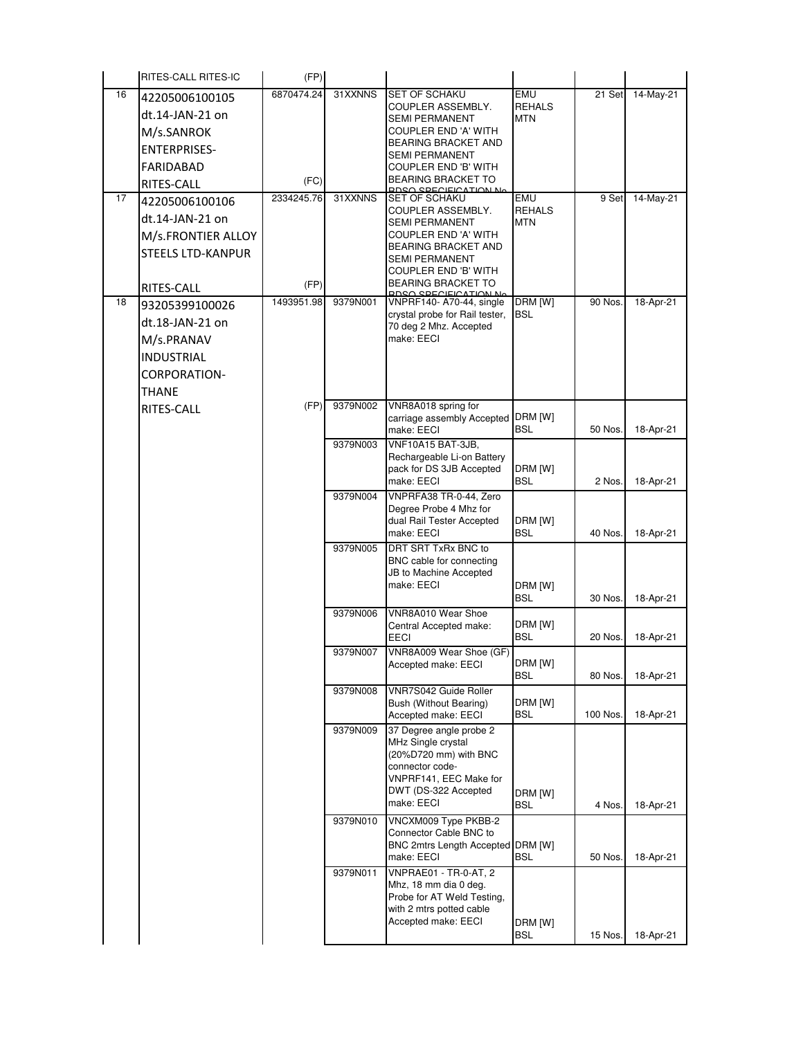| 16<br>6870474.24<br>31XXNNS<br><b>SET OF SCHAKU</b><br>EMU<br>21 Set<br>14-May-21<br>42205006100105<br><b>REHALS</b><br>COUPLER ASSEMBLY.<br>dt.14-JAN-21 on<br><b>MTN</b><br><b>SEMI PERMANENT</b><br>M/s.SANROK<br><b>COUPLER END 'A' WITH</b><br><b>BEARING BRACKET AND</b><br>ENTERPRISES-<br><b>SEMI PERMANENT</b><br>FARIDABAD<br>COUPLER END 'B' WITH<br><b>BEARING BRACKET TO</b><br>(FC)<br>RITES-CALL<br>DDCO CDECIEICATION NA<br>17<br>2334245.76<br>31XXNNS<br>SET OF SCHAKU<br>EMU<br>9 Set<br>14-May-21<br>42205006100106<br><b>REHALS</b><br>COUPLER ASSEMBLY.<br>dt.14-JAN-21 on<br><b>SEMI PERMANENT</b><br><b>MTN</b><br>COUPLER END 'A' WITH<br>M/s.FRONTIER ALLOY<br><b>BEARING BRACKET AND</b><br>STEELS LTD-KANPUR<br><b>SEMI PERMANENT</b><br><b>COUPLER END 'B' WITH</b><br><b>BEARING BRACKET TO</b><br>(FP)<br>RITES-CALL<br>DDCA CDEAIEIANTIAN NA<br>1493951.98<br>18<br>9379N001<br>VNPRF140-A70-44, single<br>DRM [W]<br>90 Nos.<br>18-Apr-21<br>93205399100026<br>crystal probe for Rail tester,<br><b>BSL</b><br>dt.18-JAN-21 on<br>70 deg 2 Mhz. Accepted<br>make: EECI<br>M/s.PRANAV<br><b>INDUSTRIAL</b><br>CORPORATION-<br>THANE<br>(FP)<br>9379N002<br>VNR8A018 spring for<br>RITES-CALL<br>DRM [W]<br>carriage assembly Accepted<br><b>BSL</b><br>50 Nos.<br>18-Apr-21<br>make: EECI<br>VNF10A15 BAT-3JB,<br>9379N003<br>Rechargeable Li-on Battery<br>pack for DS 3JB Accepted<br>DRM [W]<br>make: EECI<br><b>BSL</b><br>2 Nos.<br>18-Apr-21<br>9379N004<br>VNPRFA38 TR-0-44, Zero<br>Degree Probe 4 Mhz for<br>dual Rail Tester Accepted<br>DRM [W]<br>make: EECI<br><b>BSL</b><br>18-Apr-21<br>40 Nos.<br>DRT SRT TxRx BNC to<br>9379N005<br>BNC cable for connecting<br>JB to Machine Accepted<br>make: EECI<br>DRM [W]<br>BSL<br>30 Nos.<br>18-Apr-21<br>9379N006<br>VNR8A010 Wear Shoe<br>DRM [W]<br>Central Accepted make:<br><b>BSL</b><br>20 Nos.<br>18-Apr-21<br><b>EECI</b><br>VNR8A009 Wear Shoe (GF)<br>9379N007<br>DRM [W]<br>Accepted make: EECI<br>BSL<br>80 Nos.<br>18-Apr-21<br>9379N008<br>VNR7S042 Guide Roller<br>DRM [W]<br>Bush (Without Bearing)<br><b>BSL</b><br>100 Nos.<br>18-Apr-21<br>Accepted make: EECI<br>9379N009<br>37 Degree angle probe 2<br>MHz Single crystal<br>(20%D720 mm) with BNC<br>connector code-<br>VNPRF141, EEC Make for<br>DWT (DS-322 Accepted<br>DRM [W]<br>make: EECI<br><b>BSL</b><br>4 Nos.<br>18-Apr-21<br>VNCXM009 Type PKBB-2<br>9379N010<br>Connector Cable BNC to<br>BNC 2mtrs Length Accepted DRM [W]<br>make: EECI<br>BSL<br>50 Nos.<br>18-Apr-21<br>9379N011<br><b>VNPRAE01 - TR-0-AT, 2</b><br>Mhz, 18 mm dia 0 deg.<br>Probe for AT Weld Testing,<br>with 2 mtrs potted cable<br>Accepted make: EECI<br>DRM [W]<br>BSL<br>15 Nos.<br>18-Apr-21 | RITES-CALL RITES-IC | (FP) |  |  |  |
|------------------------------------------------------------------------------------------------------------------------------------------------------------------------------------------------------------------------------------------------------------------------------------------------------------------------------------------------------------------------------------------------------------------------------------------------------------------------------------------------------------------------------------------------------------------------------------------------------------------------------------------------------------------------------------------------------------------------------------------------------------------------------------------------------------------------------------------------------------------------------------------------------------------------------------------------------------------------------------------------------------------------------------------------------------------------------------------------------------------------------------------------------------------------------------------------------------------------------------------------------------------------------------------------------------------------------------------------------------------------------------------------------------------------------------------------------------------------------------------------------------------------------------------------------------------------------------------------------------------------------------------------------------------------------------------------------------------------------------------------------------------------------------------------------------------------------------------------------------------------------------------------------------------------------------------------------------------------------------------------------------------------------------------------------------------------------------------------------------------------------------------------------------------------------------------------------------------------------------------------------------------------------------------------------------------------------------------------------------------------------------------------------------------------------------------------------------------------------------------------------------------------------------------------------------------------------------------------------------------------------------------------------------------------------------------------------------------------------------------------------|---------------------|------|--|--|--|
|                                                                                                                                                                                                                                                                                                                                                                                                                                                                                                                                                                                                                                                                                                                                                                                                                                                                                                                                                                                                                                                                                                                                                                                                                                                                                                                                                                                                                                                                                                                                                                                                                                                                                                                                                                                                                                                                                                                                                                                                                                                                                                                                                                                                                                                                                                                                                                                                                                                                                                                                                                                                                                                                                                                                                      |                     |      |  |  |  |
|                                                                                                                                                                                                                                                                                                                                                                                                                                                                                                                                                                                                                                                                                                                                                                                                                                                                                                                                                                                                                                                                                                                                                                                                                                                                                                                                                                                                                                                                                                                                                                                                                                                                                                                                                                                                                                                                                                                                                                                                                                                                                                                                                                                                                                                                                                                                                                                                                                                                                                                                                                                                                                                                                                                                                      |                     |      |  |  |  |
|                                                                                                                                                                                                                                                                                                                                                                                                                                                                                                                                                                                                                                                                                                                                                                                                                                                                                                                                                                                                                                                                                                                                                                                                                                                                                                                                                                                                                                                                                                                                                                                                                                                                                                                                                                                                                                                                                                                                                                                                                                                                                                                                                                                                                                                                                                                                                                                                                                                                                                                                                                                                                                                                                                                                                      |                     |      |  |  |  |
|                                                                                                                                                                                                                                                                                                                                                                                                                                                                                                                                                                                                                                                                                                                                                                                                                                                                                                                                                                                                                                                                                                                                                                                                                                                                                                                                                                                                                                                                                                                                                                                                                                                                                                                                                                                                                                                                                                                                                                                                                                                                                                                                                                                                                                                                                                                                                                                                                                                                                                                                                                                                                                                                                                                                                      |                     |      |  |  |  |
|                                                                                                                                                                                                                                                                                                                                                                                                                                                                                                                                                                                                                                                                                                                                                                                                                                                                                                                                                                                                                                                                                                                                                                                                                                                                                                                                                                                                                                                                                                                                                                                                                                                                                                                                                                                                                                                                                                                                                                                                                                                                                                                                                                                                                                                                                                                                                                                                                                                                                                                                                                                                                                                                                                                                                      |                     |      |  |  |  |
|                                                                                                                                                                                                                                                                                                                                                                                                                                                                                                                                                                                                                                                                                                                                                                                                                                                                                                                                                                                                                                                                                                                                                                                                                                                                                                                                                                                                                                                                                                                                                                                                                                                                                                                                                                                                                                                                                                                                                                                                                                                                                                                                                                                                                                                                                                                                                                                                                                                                                                                                                                                                                                                                                                                                                      |                     |      |  |  |  |
|                                                                                                                                                                                                                                                                                                                                                                                                                                                                                                                                                                                                                                                                                                                                                                                                                                                                                                                                                                                                                                                                                                                                                                                                                                                                                                                                                                                                                                                                                                                                                                                                                                                                                                                                                                                                                                                                                                                                                                                                                                                                                                                                                                                                                                                                                                                                                                                                                                                                                                                                                                                                                                                                                                                                                      |                     |      |  |  |  |
|                                                                                                                                                                                                                                                                                                                                                                                                                                                                                                                                                                                                                                                                                                                                                                                                                                                                                                                                                                                                                                                                                                                                                                                                                                                                                                                                                                                                                                                                                                                                                                                                                                                                                                                                                                                                                                                                                                                                                                                                                                                                                                                                                                                                                                                                                                                                                                                                                                                                                                                                                                                                                                                                                                                                                      |                     |      |  |  |  |
|                                                                                                                                                                                                                                                                                                                                                                                                                                                                                                                                                                                                                                                                                                                                                                                                                                                                                                                                                                                                                                                                                                                                                                                                                                                                                                                                                                                                                                                                                                                                                                                                                                                                                                                                                                                                                                                                                                                                                                                                                                                                                                                                                                                                                                                                                                                                                                                                                                                                                                                                                                                                                                                                                                                                                      |                     |      |  |  |  |
|                                                                                                                                                                                                                                                                                                                                                                                                                                                                                                                                                                                                                                                                                                                                                                                                                                                                                                                                                                                                                                                                                                                                                                                                                                                                                                                                                                                                                                                                                                                                                                                                                                                                                                                                                                                                                                                                                                                                                                                                                                                                                                                                                                                                                                                                                                                                                                                                                                                                                                                                                                                                                                                                                                                                                      |                     |      |  |  |  |
|                                                                                                                                                                                                                                                                                                                                                                                                                                                                                                                                                                                                                                                                                                                                                                                                                                                                                                                                                                                                                                                                                                                                                                                                                                                                                                                                                                                                                                                                                                                                                                                                                                                                                                                                                                                                                                                                                                                                                                                                                                                                                                                                                                                                                                                                                                                                                                                                                                                                                                                                                                                                                                                                                                                                                      |                     |      |  |  |  |
|                                                                                                                                                                                                                                                                                                                                                                                                                                                                                                                                                                                                                                                                                                                                                                                                                                                                                                                                                                                                                                                                                                                                                                                                                                                                                                                                                                                                                                                                                                                                                                                                                                                                                                                                                                                                                                                                                                                                                                                                                                                                                                                                                                                                                                                                                                                                                                                                                                                                                                                                                                                                                                                                                                                                                      |                     |      |  |  |  |
|                                                                                                                                                                                                                                                                                                                                                                                                                                                                                                                                                                                                                                                                                                                                                                                                                                                                                                                                                                                                                                                                                                                                                                                                                                                                                                                                                                                                                                                                                                                                                                                                                                                                                                                                                                                                                                                                                                                                                                                                                                                                                                                                                                                                                                                                                                                                                                                                                                                                                                                                                                                                                                                                                                                                                      |                     |      |  |  |  |
|                                                                                                                                                                                                                                                                                                                                                                                                                                                                                                                                                                                                                                                                                                                                                                                                                                                                                                                                                                                                                                                                                                                                                                                                                                                                                                                                                                                                                                                                                                                                                                                                                                                                                                                                                                                                                                                                                                                                                                                                                                                                                                                                                                                                                                                                                                                                                                                                                                                                                                                                                                                                                                                                                                                                                      |                     |      |  |  |  |
|                                                                                                                                                                                                                                                                                                                                                                                                                                                                                                                                                                                                                                                                                                                                                                                                                                                                                                                                                                                                                                                                                                                                                                                                                                                                                                                                                                                                                                                                                                                                                                                                                                                                                                                                                                                                                                                                                                                                                                                                                                                                                                                                                                                                                                                                                                                                                                                                                                                                                                                                                                                                                                                                                                                                                      |                     |      |  |  |  |
|                                                                                                                                                                                                                                                                                                                                                                                                                                                                                                                                                                                                                                                                                                                                                                                                                                                                                                                                                                                                                                                                                                                                                                                                                                                                                                                                                                                                                                                                                                                                                                                                                                                                                                                                                                                                                                                                                                                                                                                                                                                                                                                                                                                                                                                                                                                                                                                                                                                                                                                                                                                                                                                                                                                                                      |                     |      |  |  |  |
|                                                                                                                                                                                                                                                                                                                                                                                                                                                                                                                                                                                                                                                                                                                                                                                                                                                                                                                                                                                                                                                                                                                                                                                                                                                                                                                                                                                                                                                                                                                                                                                                                                                                                                                                                                                                                                                                                                                                                                                                                                                                                                                                                                                                                                                                                                                                                                                                                                                                                                                                                                                                                                                                                                                                                      |                     |      |  |  |  |
|                                                                                                                                                                                                                                                                                                                                                                                                                                                                                                                                                                                                                                                                                                                                                                                                                                                                                                                                                                                                                                                                                                                                                                                                                                                                                                                                                                                                                                                                                                                                                                                                                                                                                                                                                                                                                                                                                                                                                                                                                                                                                                                                                                                                                                                                                                                                                                                                                                                                                                                                                                                                                                                                                                                                                      |                     |      |  |  |  |
|                                                                                                                                                                                                                                                                                                                                                                                                                                                                                                                                                                                                                                                                                                                                                                                                                                                                                                                                                                                                                                                                                                                                                                                                                                                                                                                                                                                                                                                                                                                                                                                                                                                                                                                                                                                                                                                                                                                                                                                                                                                                                                                                                                                                                                                                                                                                                                                                                                                                                                                                                                                                                                                                                                                                                      |                     |      |  |  |  |
|                                                                                                                                                                                                                                                                                                                                                                                                                                                                                                                                                                                                                                                                                                                                                                                                                                                                                                                                                                                                                                                                                                                                                                                                                                                                                                                                                                                                                                                                                                                                                                                                                                                                                                                                                                                                                                                                                                                                                                                                                                                                                                                                                                                                                                                                                                                                                                                                                                                                                                                                                                                                                                                                                                                                                      |                     |      |  |  |  |
|                                                                                                                                                                                                                                                                                                                                                                                                                                                                                                                                                                                                                                                                                                                                                                                                                                                                                                                                                                                                                                                                                                                                                                                                                                                                                                                                                                                                                                                                                                                                                                                                                                                                                                                                                                                                                                                                                                                                                                                                                                                                                                                                                                                                                                                                                                                                                                                                                                                                                                                                                                                                                                                                                                                                                      |                     |      |  |  |  |
|                                                                                                                                                                                                                                                                                                                                                                                                                                                                                                                                                                                                                                                                                                                                                                                                                                                                                                                                                                                                                                                                                                                                                                                                                                                                                                                                                                                                                                                                                                                                                                                                                                                                                                                                                                                                                                                                                                                                                                                                                                                                                                                                                                                                                                                                                                                                                                                                                                                                                                                                                                                                                                                                                                                                                      |                     |      |  |  |  |
|                                                                                                                                                                                                                                                                                                                                                                                                                                                                                                                                                                                                                                                                                                                                                                                                                                                                                                                                                                                                                                                                                                                                                                                                                                                                                                                                                                                                                                                                                                                                                                                                                                                                                                                                                                                                                                                                                                                                                                                                                                                                                                                                                                                                                                                                                                                                                                                                                                                                                                                                                                                                                                                                                                                                                      |                     |      |  |  |  |
|                                                                                                                                                                                                                                                                                                                                                                                                                                                                                                                                                                                                                                                                                                                                                                                                                                                                                                                                                                                                                                                                                                                                                                                                                                                                                                                                                                                                                                                                                                                                                                                                                                                                                                                                                                                                                                                                                                                                                                                                                                                                                                                                                                                                                                                                                                                                                                                                                                                                                                                                                                                                                                                                                                                                                      |                     |      |  |  |  |
|                                                                                                                                                                                                                                                                                                                                                                                                                                                                                                                                                                                                                                                                                                                                                                                                                                                                                                                                                                                                                                                                                                                                                                                                                                                                                                                                                                                                                                                                                                                                                                                                                                                                                                                                                                                                                                                                                                                                                                                                                                                                                                                                                                                                                                                                                                                                                                                                                                                                                                                                                                                                                                                                                                                                                      |                     |      |  |  |  |
|                                                                                                                                                                                                                                                                                                                                                                                                                                                                                                                                                                                                                                                                                                                                                                                                                                                                                                                                                                                                                                                                                                                                                                                                                                                                                                                                                                                                                                                                                                                                                                                                                                                                                                                                                                                                                                                                                                                                                                                                                                                                                                                                                                                                                                                                                                                                                                                                                                                                                                                                                                                                                                                                                                                                                      |                     |      |  |  |  |
|                                                                                                                                                                                                                                                                                                                                                                                                                                                                                                                                                                                                                                                                                                                                                                                                                                                                                                                                                                                                                                                                                                                                                                                                                                                                                                                                                                                                                                                                                                                                                                                                                                                                                                                                                                                                                                                                                                                                                                                                                                                                                                                                                                                                                                                                                                                                                                                                                                                                                                                                                                                                                                                                                                                                                      |                     |      |  |  |  |
|                                                                                                                                                                                                                                                                                                                                                                                                                                                                                                                                                                                                                                                                                                                                                                                                                                                                                                                                                                                                                                                                                                                                                                                                                                                                                                                                                                                                                                                                                                                                                                                                                                                                                                                                                                                                                                                                                                                                                                                                                                                                                                                                                                                                                                                                                                                                                                                                                                                                                                                                                                                                                                                                                                                                                      |                     |      |  |  |  |
|                                                                                                                                                                                                                                                                                                                                                                                                                                                                                                                                                                                                                                                                                                                                                                                                                                                                                                                                                                                                                                                                                                                                                                                                                                                                                                                                                                                                                                                                                                                                                                                                                                                                                                                                                                                                                                                                                                                                                                                                                                                                                                                                                                                                                                                                                                                                                                                                                                                                                                                                                                                                                                                                                                                                                      |                     |      |  |  |  |
|                                                                                                                                                                                                                                                                                                                                                                                                                                                                                                                                                                                                                                                                                                                                                                                                                                                                                                                                                                                                                                                                                                                                                                                                                                                                                                                                                                                                                                                                                                                                                                                                                                                                                                                                                                                                                                                                                                                                                                                                                                                                                                                                                                                                                                                                                                                                                                                                                                                                                                                                                                                                                                                                                                                                                      |                     |      |  |  |  |
|                                                                                                                                                                                                                                                                                                                                                                                                                                                                                                                                                                                                                                                                                                                                                                                                                                                                                                                                                                                                                                                                                                                                                                                                                                                                                                                                                                                                                                                                                                                                                                                                                                                                                                                                                                                                                                                                                                                                                                                                                                                                                                                                                                                                                                                                                                                                                                                                                                                                                                                                                                                                                                                                                                                                                      |                     |      |  |  |  |
|                                                                                                                                                                                                                                                                                                                                                                                                                                                                                                                                                                                                                                                                                                                                                                                                                                                                                                                                                                                                                                                                                                                                                                                                                                                                                                                                                                                                                                                                                                                                                                                                                                                                                                                                                                                                                                                                                                                                                                                                                                                                                                                                                                                                                                                                                                                                                                                                                                                                                                                                                                                                                                                                                                                                                      |                     |      |  |  |  |
|                                                                                                                                                                                                                                                                                                                                                                                                                                                                                                                                                                                                                                                                                                                                                                                                                                                                                                                                                                                                                                                                                                                                                                                                                                                                                                                                                                                                                                                                                                                                                                                                                                                                                                                                                                                                                                                                                                                                                                                                                                                                                                                                                                                                                                                                                                                                                                                                                                                                                                                                                                                                                                                                                                                                                      |                     |      |  |  |  |
|                                                                                                                                                                                                                                                                                                                                                                                                                                                                                                                                                                                                                                                                                                                                                                                                                                                                                                                                                                                                                                                                                                                                                                                                                                                                                                                                                                                                                                                                                                                                                                                                                                                                                                                                                                                                                                                                                                                                                                                                                                                                                                                                                                                                                                                                                                                                                                                                                                                                                                                                                                                                                                                                                                                                                      |                     |      |  |  |  |
|                                                                                                                                                                                                                                                                                                                                                                                                                                                                                                                                                                                                                                                                                                                                                                                                                                                                                                                                                                                                                                                                                                                                                                                                                                                                                                                                                                                                                                                                                                                                                                                                                                                                                                                                                                                                                                                                                                                                                                                                                                                                                                                                                                                                                                                                                                                                                                                                                                                                                                                                                                                                                                                                                                                                                      |                     |      |  |  |  |
|                                                                                                                                                                                                                                                                                                                                                                                                                                                                                                                                                                                                                                                                                                                                                                                                                                                                                                                                                                                                                                                                                                                                                                                                                                                                                                                                                                                                                                                                                                                                                                                                                                                                                                                                                                                                                                                                                                                                                                                                                                                                                                                                                                                                                                                                                                                                                                                                                                                                                                                                                                                                                                                                                                                                                      |                     |      |  |  |  |
|                                                                                                                                                                                                                                                                                                                                                                                                                                                                                                                                                                                                                                                                                                                                                                                                                                                                                                                                                                                                                                                                                                                                                                                                                                                                                                                                                                                                                                                                                                                                                                                                                                                                                                                                                                                                                                                                                                                                                                                                                                                                                                                                                                                                                                                                                                                                                                                                                                                                                                                                                                                                                                                                                                                                                      |                     |      |  |  |  |
|                                                                                                                                                                                                                                                                                                                                                                                                                                                                                                                                                                                                                                                                                                                                                                                                                                                                                                                                                                                                                                                                                                                                                                                                                                                                                                                                                                                                                                                                                                                                                                                                                                                                                                                                                                                                                                                                                                                                                                                                                                                                                                                                                                                                                                                                                                                                                                                                                                                                                                                                                                                                                                                                                                                                                      |                     |      |  |  |  |
|                                                                                                                                                                                                                                                                                                                                                                                                                                                                                                                                                                                                                                                                                                                                                                                                                                                                                                                                                                                                                                                                                                                                                                                                                                                                                                                                                                                                                                                                                                                                                                                                                                                                                                                                                                                                                                                                                                                                                                                                                                                                                                                                                                                                                                                                                                                                                                                                                                                                                                                                                                                                                                                                                                                                                      |                     |      |  |  |  |
|                                                                                                                                                                                                                                                                                                                                                                                                                                                                                                                                                                                                                                                                                                                                                                                                                                                                                                                                                                                                                                                                                                                                                                                                                                                                                                                                                                                                                                                                                                                                                                                                                                                                                                                                                                                                                                                                                                                                                                                                                                                                                                                                                                                                                                                                                                                                                                                                                                                                                                                                                                                                                                                                                                                                                      |                     |      |  |  |  |
|                                                                                                                                                                                                                                                                                                                                                                                                                                                                                                                                                                                                                                                                                                                                                                                                                                                                                                                                                                                                                                                                                                                                                                                                                                                                                                                                                                                                                                                                                                                                                                                                                                                                                                                                                                                                                                                                                                                                                                                                                                                                                                                                                                                                                                                                                                                                                                                                                                                                                                                                                                                                                                                                                                                                                      |                     |      |  |  |  |
|                                                                                                                                                                                                                                                                                                                                                                                                                                                                                                                                                                                                                                                                                                                                                                                                                                                                                                                                                                                                                                                                                                                                                                                                                                                                                                                                                                                                                                                                                                                                                                                                                                                                                                                                                                                                                                                                                                                                                                                                                                                                                                                                                                                                                                                                                                                                                                                                                                                                                                                                                                                                                                                                                                                                                      |                     |      |  |  |  |
|                                                                                                                                                                                                                                                                                                                                                                                                                                                                                                                                                                                                                                                                                                                                                                                                                                                                                                                                                                                                                                                                                                                                                                                                                                                                                                                                                                                                                                                                                                                                                                                                                                                                                                                                                                                                                                                                                                                                                                                                                                                                                                                                                                                                                                                                                                                                                                                                                                                                                                                                                                                                                                                                                                                                                      |                     |      |  |  |  |
|                                                                                                                                                                                                                                                                                                                                                                                                                                                                                                                                                                                                                                                                                                                                                                                                                                                                                                                                                                                                                                                                                                                                                                                                                                                                                                                                                                                                                                                                                                                                                                                                                                                                                                                                                                                                                                                                                                                                                                                                                                                                                                                                                                                                                                                                                                                                                                                                                                                                                                                                                                                                                                                                                                                                                      |                     |      |  |  |  |
|                                                                                                                                                                                                                                                                                                                                                                                                                                                                                                                                                                                                                                                                                                                                                                                                                                                                                                                                                                                                                                                                                                                                                                                                                                                                                                                                                                                                                                                                                                                                                                                                                                                                                                                                                                                                                                                                                                                                                                                                                                                                                                                                                                                                                                                                                                                                                                                                                                                                                                                                                                                                                                                                                                                                                      |                     |      |  |  |  |
|                                                                                                                                                                                                                                                                                                                                                                                                                                                                                                                                                                                                                                                                                                                                                                                                                                                                                                                                                                                                                                                                                                                                                                                                                                                                                                                                                                                                                                                                                                                                                                                                                                                                                                                                                                                                                                                                                                                                                                                                                                                                                                                                                                                                                                                                                                                                                                                                                                                                                                                                                                                                                                                                                                                                                      |                     |      |  |  |  |
|                                                                                                                                                                                                                                                                                                                                                                                                                                                                                                                                                                                                                                                                                                                                                                                                                                                                                                                                                                                                                                                                                                                                                                                                                                                                                                                                                                                                                                                                                                                                                                                                                                                                                                                                                                                                                                                                                                                                                                                                                                                                                                                                                                                                                                                                                                                                                                                                                                                                                                                                                                                                                                                                                                                                                      |                     |      |  |  |  |
|                                                                                                                                                                                                                                                                                                                                                                                                                                                                                                                                                                                                                                                                                                                                                                                                                                                                                                                                                                                                                                                                                                                                                                                                                                                                                                                                                                                                                                                                                                                                                                                                                                                                                                                                                                                                                                                                                                                                                                                                                                                                                                                                                                                                                                                                                                                                                                                                                                                                                                                                                                                                                                                                                                                                                      |                     |      |  |  |  |
|                                                                                                                                                                                                                                                                                                                                                                                                                                                                                                                                                                                                                                                                                                                                                                                                                                                                                                                                                                                                                                                                                                                                                                                                                                                                                                                                                                                                                                                                                                                                                                                                                                                                                                                                                                                                                                                                                                                                                                                                                                                                                                                                                                                                                                                                                                                                                                                                                                                                                                                                                                                                                                                                                                                                                      |                     |      |  |  |  |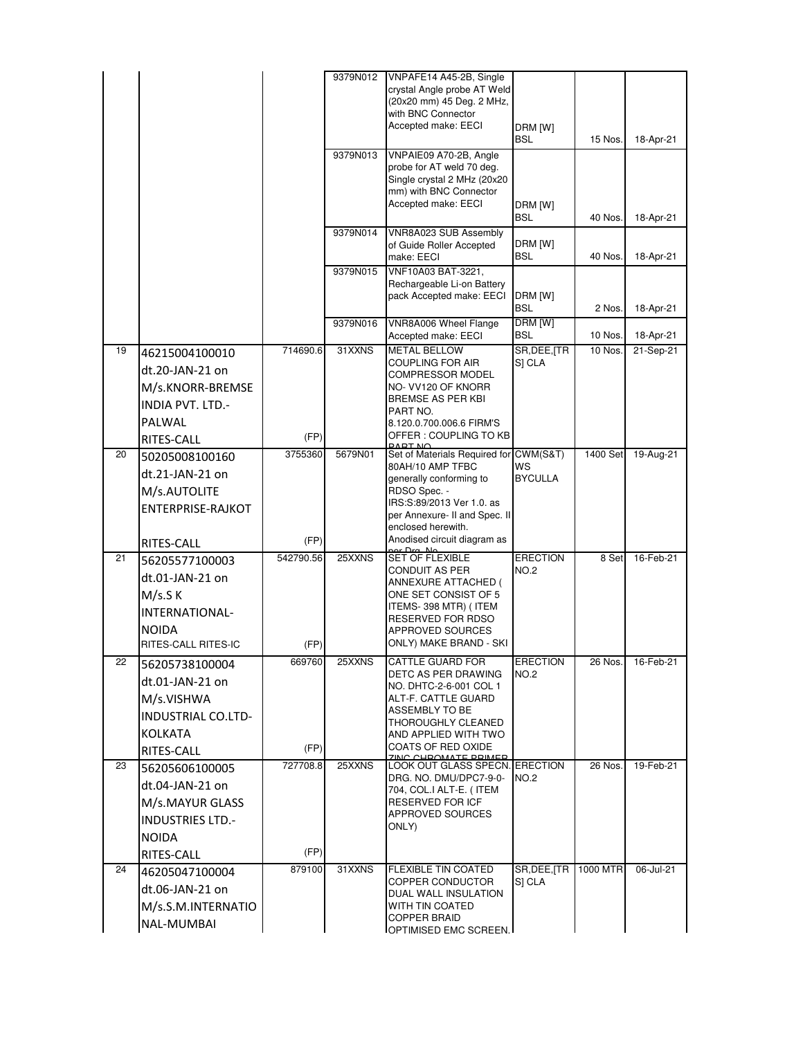|    |                          |                   | 9379N012 | VNPAFE14 A45-2B, Single                                  |                         |                    |                        |
|----|--------------------------|-------------------|----------|----------------------------------------------------------|-------------------------|--------------------|------------------------|
|    |                          |                   |          | crystal Angle probe AT Weld                              |                         |                    |                        |
|    |                          |                   |          | (20x20 mm) 45 Deg. 2 MHz,                                |                         |                    |                        |
|    |                          |                   |          | with BNC Connector<br>Accepted make: EECI                |                         |                    |                        |
|    |                          |                   |          |                                                          | DRM [W]<br>BSL          | 15 Nos.            | 18-Apr-21              |
|    |                          |                   | 9379N013 | VNPAIE09 A70-2B, Angle                                   |                         |                    |                        |
|    |                          |                   |          | probe for AT weld 70 deg.<br>Single crystal 2 MHz (20x20 |                         |                    |                        |
|    |                          |                   |          | mm) with BNC Connector                                   |                         |                    |                        |
|    |                          |                   |          | Accepted make: EECI                                      | DRM [W]                 |                    |                        |
|    |                          |                   |          |                                                          | BSL                     | 40 Nos.            | 18-Apr-21              |
|    |                          |                   | 9379N014 | VNR8A023 SUB Assembly                                    |                         |                    |                        |
|    |                          |                   |          | of Guide Roller Accepted                                 | DRM [W]<br>BSL          | 40 Nos.            |                        |
|    |                          |                   | 9379N015 | make: EECI<br>VNF10A03 BAT-3221,                         |                         |                    | 18-Apr-21              |
|    |                          |                   |          | Rechargeable Li-on Battery                               |                         |                    |                        |
|    |                          |                   |          | pack Accepted make: EECI                                 | DRM [W]                 |                    |                        |
|    |                          |                   |          |                                                          | BSL                     | 2 Nos.             | 18-Apr-21              |
|    |                          |                   | 9379N016 | VNR8A006 Wheel Flange                                    | DRM [W]                 |                    |                        |
| 19 |                          | 714690.6          | 31XXNS   | Accepted make: EECI<br><b>METAL BELLOW</b>               | BSL<br>SR, DEE, [TR     | 10 Nos.<br>10 Nos. | 18-Apr-21<br>21-Sep-21 |
|    | 46215004100010           |                   |          | COUPLING FOR AIR                                         | S] CLA                  |                    |                        |
|    | dt.20-JAN-21 on          |                   |          | COMPRESSOR MODEL                                         |                         |                    |                        |
|    | M/s.KNORR-BREMSE         |                   |          | NO- VV120 OF KNORR                                       |                         |                    |                        |
|    | <b>INDIA PVT. LTD.-</b>  |                   |          | BREMSE AS PER KBI<br>PART NO.                            |                         |                    |                        |
|    | PALWAL                   |                   |          | 8.120.0.700.006.6 FIRM'S                                 |                         |                    |                        |
|    | RITES-CALL               | (FP)              |          | OFFER : COUPLING TO KB                                   |                         |                    |                        |
| 20 | 50205008100160           | 3755360           | 5679N01  | DART NO<br>Set of Materials Required for CWM(S&T)        |                         | 1400 Set           | 19-Aug-21              |
|    | dt.21-JAN-21 on          |                   |          | 80AH/10 AMP TFBC                                         | WS                      |                    |                        |
|    | M/s.AUTOLITE             |                   |          | generally conforming to<br>RDSO Spec. -                  | <b>BYCULLA</b>          |                    |                        |
|    | <b>ENTERPRISE-RAJKOT</b> |                   |          | IRS:S:89/2013 Ver 1.0. as                                |                         |                    |                        |
|    |                          |                   |          | per Annexure- II and Spec. II                            |                         |                    |                        |
|    |                          |                   |          | enclosed herewith.<br>Anodised circuit diagram as        |                         |                    |                        |
| 21 | RITES-CALL               | (FP)<br>542790.56 | 25XXNS   | <b>SET OF FLEXIBLE</b>                                   | <b>ERECTION</b>         | 8 Set              | 16-Feb-21              |
|    | 56205577100003           |                   |          | CONDUIT AS PER                                           | <b>NO.2</b>             |                    |                        |
|    | dt.01-JAN-21 on          |                   |          | ANNEXURE ATTACHED (                                      |                         |                    |                        |
|    | M/s.S K                  |                   |          | ONE SET CONSIST OF 5<br>ITEMS-398 MTR) (ITEM             |                         |                    |                        |
|    | INTERNATIONAL-           |                   |          | RESERVED FOR RDSO                                        |                         |                    |                        |
|    | <b>NOIDA</b>             |                   |          | APPROVED SOURCES                                         |                         |                    |                        |
|    | RITES-CALL RITES-IC      | (FP)              |          | ONLY) MAKE BRAND - SKI                                   |                         |                    |                        |
| 22 | 56205738100004           | 669760            | 25XXNS   | CATTLE GUARD FOR<br>DETC AS PER DRAWING                  | ERECTION<br><b>NO.2</b> | 26 Nos.            | 16-Feb-21              |
|    | dt.01-JAN-21 on          |                   |          | NO. DHTC-2-6-001 COL 1                                   |                         |                    |                        |
|    | M/s.VISHWA               |                   |          | ALT-F. CATTLE GUARD                                      |                         |                    |                        |
|    | INDUSTRIAL CO.LTD-       |                   |          | ASSEMBLY TO BE<br>THOROUGHLY CLEANED                     |                         |                    |                        |
|    | <b>KOLKATA</b>           |                   |          | AND APPLIED WITH TWO                                     |                         |                    |                        |
|    | RITES-CALL               | (FP)              |          | <b>COATS OF RED OXIDE</b>                                |                         |                    |                        |
| 23 | 56205606100005           | 727708.8          | 25XXNS   | CUDOMATE DDIMED<br><b>LOOK OUT GLASS SPECN. ERECTION</b> |                         | 26 Nos.            | 19-Feb-21              |
|    | dt.04-JAN-21 on          |                   |          | DRG. NO. DMU/DPC7-9-0-                                   | <b>NO.2</b>             |                    |                        |
|    | M/s.MAYUR GLASS          |                   |          | 704, COL.I ALT-E. (ITEM<br>RESERVED FOR ICF              |                         |                    |                        |
|    |                          |                   |          | APPROVED SOURCES                                         |                         |                    |                        |
|    | <b>INDUSTRIES LTD.-</b>  |                   |          | ONLY)                                                    |                         |                    |                        |
|    | <b>NOIDA</b>             |                   |          |                                                          |                         |                    |                        |
|    | RITES-CALL               | (FP)              |          |                                                          |                         |                    |                        |
| 24 | 46205047100004           | 879100            | 31XXNS   | FLEXIBLE TIN COATED<br>COPPER CONDUCTOR                  | SR, DEE, [TR<br>S] CLA  | 1000 MTR           | 06-Jul-21              |
|    | dt.06-JAN-21 on          |                   |          | DUAL WALL INSULATION                                     |                         |                    |                        |
|    | M/s.S.M.INTERNATIO       |                   |          | WITH TIN COATED                                          |                         |                    |                        |
|    | NAL-MUMBAI               |                   |          | <b>COPPER BRAID</b><br>OPTIMISED EMC SCREEN.             |                         |                    |                        |
|    |                          |                   |          |                                                          |                         |                    |                        |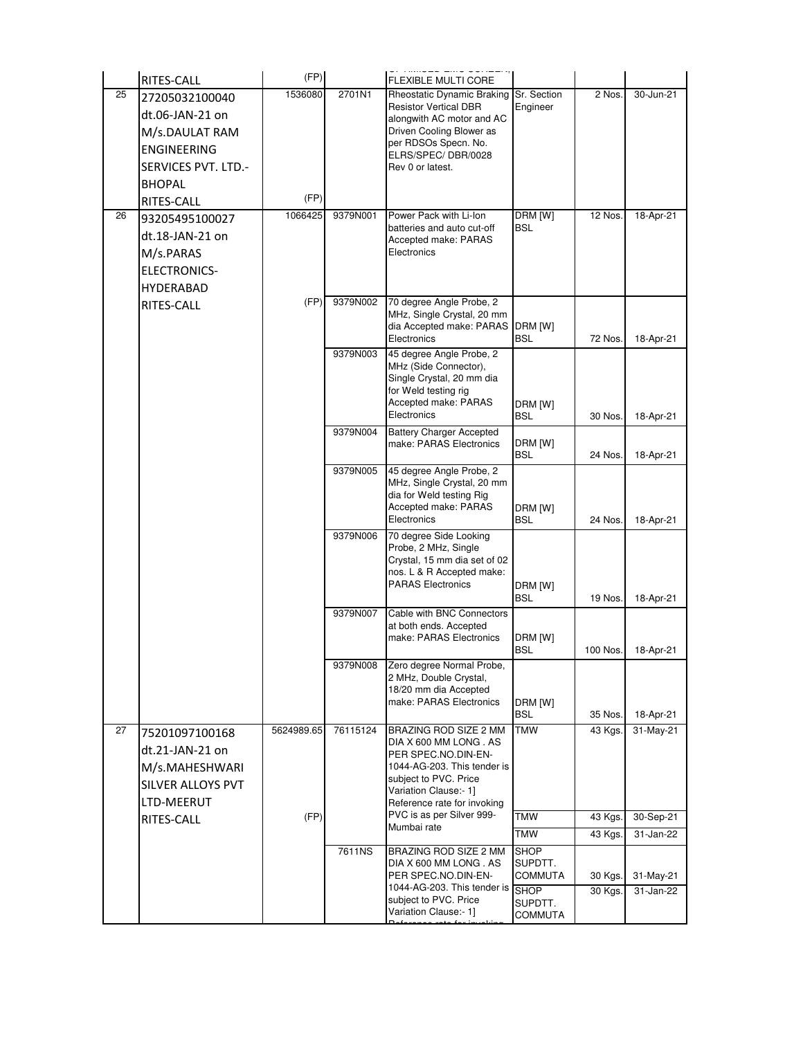|    | RITES-CALL          | (FP)       |          | FLEXIBLE MULTI CORE                                            |                          |          |           |
|----|---------------------|------------|----------|----------------------------------------------------------------|--------------------------|----------|-----------|
| 25 | 27205032100040      | 1536080    | 2701N1   | Rheostatic Dynamic Braking                                     | Sr. Section              | 2 Nos.   | 30-Jun-21 |
|    | dt.06-JAN-21 on     |            |          | <b>Resistor Vertical DBR</b><br>alongwith AC motor and AC      | Engineer                 |          |           |
|    | M/s.DAULAT RAM      |            |          | Driven Cooling Blower as                                       |                          |          |           |
|    | <b>ENGINEERING</b>  |            |          | per RDSOs Specn. No.                                           |                          |          |           |
|    | SERVICES PVT. LTD.- |            |          | ELRS/SPEC/DBR/0028<br>Rev 0 or latest.                         |                          |          |           |
|    | <b>BHOPAL</b>       |            |          |                                                                |                          |          |           |
|    | RITES-CALL          | (FP)       |          |                                                                |                          |          |           |
| 26 | 93205495100027      | 1066425    | 9379N001 | Power Pack with Li-Ion                                         | DRM [W]                  | 12 Nos.  | 18-Apr-21 |
|    | dt.18-JAN-21 on     |            |          | batteries and auto cut-off<br>Accepted make: PARAS             | <b>BSL</b>               |          |           |
|    | M/s.PARAS           |            |          | Electronics                                                    |                          |          |           |
|    | <b>ELECTRONICS-</b> |            |          |                                                                |                          |          |           |
|    | <b>HYDERABAD</b>    |            |          |                                                                |                          |          |           |
|    | <b>RITES-CALL</b>   | (FP)       | 9379N002 | 70 degree Angle Probe, 2                                       |                          |          |           |
|    |                     |            |          | MHz, Single Crystal, 20 mm<br>dia Accepted make: PARAS DRM [W] |                          |          |           |
|    |                     |            |          | Electronics                                                    | <b>BSL</b>               | 72 Nos.  | 18-Apr-21 |
|    |                     |            | 9379N003 | 45 degree Angle Probe, 2<br>MHz (Side Connector),              |                          |          |           |
|    |                     |            |          | Single Crystal, 20 mm dia                                      |                          |          |           |
|    |                     |            |          | for Weld testing rig<br>Accepted make: PARAS                   |                          |          |           |
|    |                     |            |          | Electronics                                                    | DRM [W]<br><b>BSL</b>    | 30 Nos.  | 18-Apr-21 |
|    |                     |            | 9379N004 | <b>Battery Charger Accepted</b>                                |                          |          |           |
|    |                     |            |          | make: PARAS Electronics                                        | DRM [W]<br><b>BSL</b>    | 24 Nos.  | 18-Apr-21 |
|    |                     |            | 9379N005 | 45 degree Angle Probe, 2                                       |                          |          |           |
|    |                     |            |          | MHz, Single Crystal, 20 mm                                     |                          |          |           |
|    |                     |            |          | dia for Weld testing Rig<br>Accepted make: PARAS               | DRM [W]                  |          |           |
|    |                     |            |          | Electronics                                                    | <b>BSL</b>               | 24 Nos.  | 18-Apr-21 |
|    |                     |            | 9379N006 | 70 degree Side Looking                                         |                          |          |           |
|    |                     |            |          | Probe, 2 MHz, Single<br>Crystal, 15 mm dia set of 02           |                          |          |           |
|    |                     |            |          | nos. L & R Accepted make:                                      |                          |          |           |
|    |                     |            |          | <b>PARAS Electronics</b>                                       | DRM [W]<br><b>BSL</b>    | 19 Nos.  | 18-Apr-21 |
|    |                     |            | 9379N007 | Cable with BNC Connectors                                      |                          |          |           |
|    |                     |            |          | at both ends. Accepted                                         |                          |          |           |
|    |                     |            |          | make: PARAS Electronics                                        | DRM [W]<br><b>BSL</b>    | 100 Nos. | 18-Apr-21 |
|    |                     |            | 9379N008 | Zero degree Normal Probe,                                      |                          |          |           |
|    |                     |            |          | 2 MHz, Double Crystal,<br>18/20 mm dia Accepted                |                          |          |           |
|    |                     |            |          | make: PARAS Electronics                                        | DRM [W]                  |          |           |
|    |                     |            |          |                                                                | <b>BSL</b>               | 35 Nos.  | 18-Apr-21 |
| 27 | 75201097100168      | 5624989.65 | 76115124 | BRAZING ROD SIZE 2 MM<br>DIA X 600 MM LONG . AS                | <b>TMW</b>               | 43 Kgs.  | 31-May-21 |
|    | dt.21-JAN-21 on     |            |          | PER SPEC.NO.DIN-EN-                                            |                          |          |           |
|    | M/s.MAHESHWARI      |            |          | 1044-AG-203. This tender is<br>subject to PVC. Price           |                          |          |           |
|    | SILVER ALLOYS PVT   |            |          | Variation Clause:- 1]                                          |                          |          |           |
|    | LTD-MEERUT          |            |          | Reference rate for invoking<br>PVC is as per Silver 999-       |                          |          |           |
|    | RITES-CALL          | (FP)       |          | Mumbai rate                                                    | <b>TMW</b><br><b>TMW</b> | 43 Kgs.  | 30-Sep-21 |
|    |                     |            | 7611NS   | BRAZING ROD SIZE 2 MM                                          | <b>SHOP</b>              | 43 Kgs.  | 31-Jan-22 |
|    |                     |            |          | DIA X 600 MM LONG . AS                                         | SUPDTT.                  |          |           |
|    |                     |            |          | PER SPEC.NO.DIN-EN-                                            | COMMUTA                  | 30 Kgs.  | 31-May-21 |
|    |                     |            |          | 1044-AG-203. This tender is<br>subject to PVC. Price           | <b>SHOP</b><br>SUPDTT.   | 30 Kgs.  | 31-Jan-22 |
|    |                     |            |          | Variation Clause:- 1]                                          | <b>COMMUTA</b>           |          |           |
|    |                     |            |          |                                                                |                          |          |           |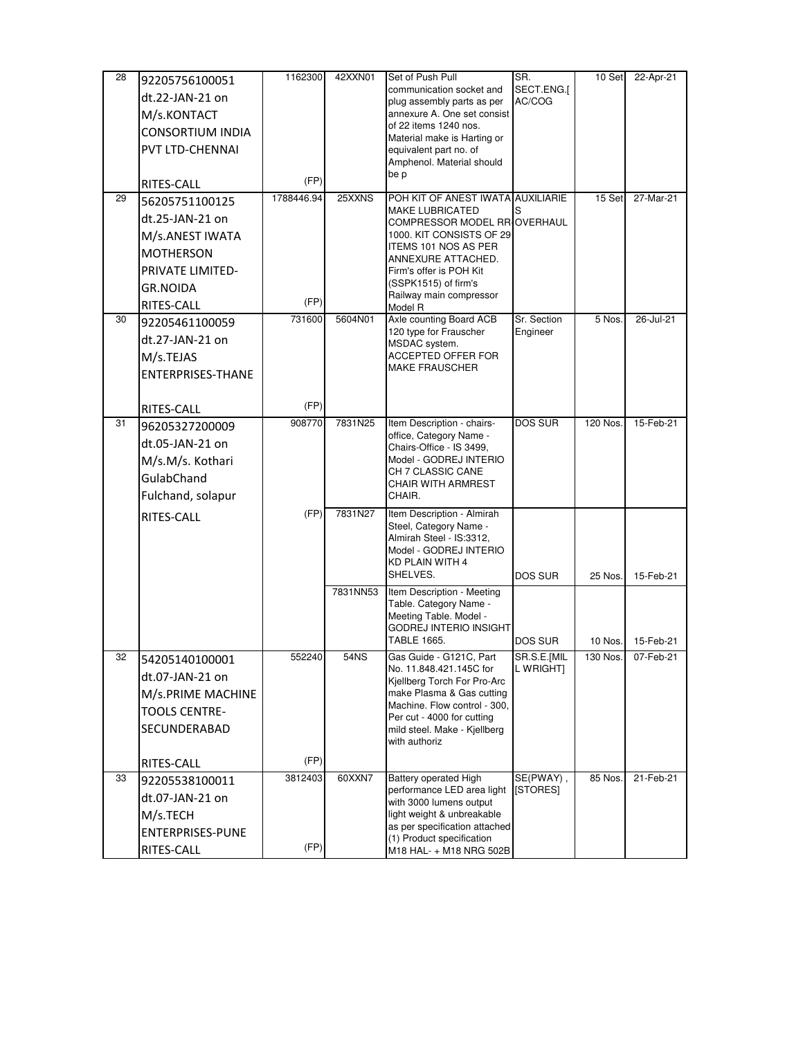| 28 | 92205756100051           | 1162300    | 42XXN01  | Set of Push Pull                                            | SR.            | 10 Set   | 22-Apr-21 |
|----|--------------------------|------------|----------|-------------------------------------------------------------|----------------|----------|-----------|
|    | dt.22-JAN-21 on          |            |          | communication socket and                                    | SECT.ENG.[     |          |           |
|    | M/s.KONTACT              |            |          | plug assembly parts as per<br>annexure A. One set consist   | AC/COG         |          |           |
|    | <b>CONSORTIUM INDIA</b>  |            |          | of 22 items 1240 nos.                                       |                |          |           |
|    |                          |            |          | Material make is Harting or                                 |                |          |           |
|    | PVT LTD-CHENNAI          |            |          | equivalent part no. of<br>Amphenol. Material should         |                |          |           |
|    |                          |            |          | be p                                                        |                |          |           |
|    | RITES-CALL               | (FP)       |          | POH KIT OF ANEST IWATA AUXILIARIE                           |                |          |           |
| 29 | 56205751100125           | 1788446.94 | 25XXNS   | <b>MAKE LUBRICATED</b>                                      | S              | 15 Set   | 27-Mar-21 |
|    | dt.25-JAN-21 on          |            |          | COMPRESSOR MODEL RRIOVERHAUL                                |                |          |           |
|    | M/s.ANEST IWATA          |            |          | 1000. KIT CONSISTS OF 29                                    |                |          |           |
|    | <b>MOTHERSON</b>         |            |          | ITEMS 101 NOS AS PER<br>ANNEXURE ATTACHED.                  |                |          |           |
|    | PRIVATE LIMITED-         |            |          | Firm's offer is POH Kit                                     |                |          |           |
|    | <b>GR.NOIDA</b>          |            |          | (SSPK1515) of firm's                                        |                |          |           |
|    | RITES-CALL               | (FP)       |          | Railway main compressor<br>Model R                          |                |          |           |
| 30 | 92205461100059           | 731600     | 5604N01  | Axle counting Board ACB                                     | Sr. Section    | 5 Nos.   | 26-Jul-21 |
|    | dt.27-JAN-21 on          |            |          | 120 type for Frauscher<br>MSDAC system.                     | Engineer       |          |           |
|    | M/s.TEJAS                |            |          | ACCEPTED OFFER FOR                                          |                |          |           |
|    | <b>ENTERPRISES-THANE</b> |            |          | <b>MAKE FRAUSCHER</b>                                       |                |          |           |
|    |                          |            |          |                                                             |                |          |           |
|    | RITES-CALL               | (FP)       |          |                                                             |                |          |           |
| 31 | 96205327200009           | 908770     | 7831N25  | Item Description - chairs-                                  | <b>DOS SUR</b> | 120 Nos. | 15-Feb-21 |
|    | dt.05-JAN-21 on          |            |          | office, Category Name -                                     |                |          |           |
|    | M/s.M/s. Kothari         |            |          | Chairs-Office - IS 3499,<br>Model - GODREJ INTERIO          |                |          |           |
|    | GulabChand               |            |          | CH 7 CLASSIC CANE                                           |                |          |           |
|    | Fulchand, solapur        |            |          | CHAIR WITH ARMREST<br>CHAIR.                                |                |          |           |
|    |                          |            |          |                                                             |                |          |           |
|    | RITES-CALL               | (FP)       | 7831N27  | Item Description - Almirah<br>Steel, Category Name -        |                |          |           |
|    |                          |            |          | Almirah Steel - IS:3312,                                    |                |          |           |
|    |                          |            |          | Model - GODREJ INTERIO<br>KD PLAIN WITH 4                   |                |          |           |
|    |                          |            |          | SHELVES.                                                    | <b>DOS SUR</b> | 25 Nos.  | 15-Feb-21 |
|    |                          |            | 7831NN53 | Item Description - Meeting                                  |                |          |           |
|    |                          |            |          | Table. Category Name -                                      |                |          |           |
|    |                          |            |          | Meeting Table. Model -<br>GODREJ INTERIO INSIGHT            |                |          |           |
|    |                          |            |          | TABLE 1665.                                                 | <b>DOS SUR</b> | 10 Nos.  | 15-Feb-21 |
| 32 | 54205140100001           | 552240     | 54NS     | Gas Guide - G121C, Part                                     | SR.S.E.[MIL    | 130 Nos. | 07-Feb-21 |
|    | dt.07-JAN-21 on          |            |          | No. 11.848.421.145C for                                     | L WRIGHT]      |          |           |
|    | M/s.PRIME MACHINE        |            |          | Kjellberg Torch For Pro-Arc<br>make Plasma & Gas cutting    |                |          |           |
|    | <b>TOOLS CENTRE-</b>     |            |          | Machine. Flow control - 300,                                |                |          |           |
|    |                          |            |          | Per cut - 4000 for cutting                                  |                |          |           |
|    | SECUNDERABAD             |            |          | mild steel. Make - Kjellberg<br>with authoriz               |                |          |           |
|    |                          | (FP)       |          |                                                             |                |          |           |
| 33 | RITES-CALL               | 3812403    | 60XXN7   | <b>Battery operated High</b>                                | SE(PWAY),      | 85 Nos.  | 21-Feb-21 |
|    | 92205538100011           |            |          | performance LED area light                                  | [STORES]       |          |           |
|    | dt.07-JAN-21 on          |            |          | with 3000 lumens output                                     |                |          |           |
|    | M/s.TECH                 |            |          | light weight & unbreakable<br>as per specification attached |                |          |           |
|    | ENTERPRISES-PUNE         |            |          | (1) Product specification                                   |                |          |           |
|    | RITES-CALL               | (FP)       |          | M18 HAL- + M18 NRG 502B                                     |                |          |           |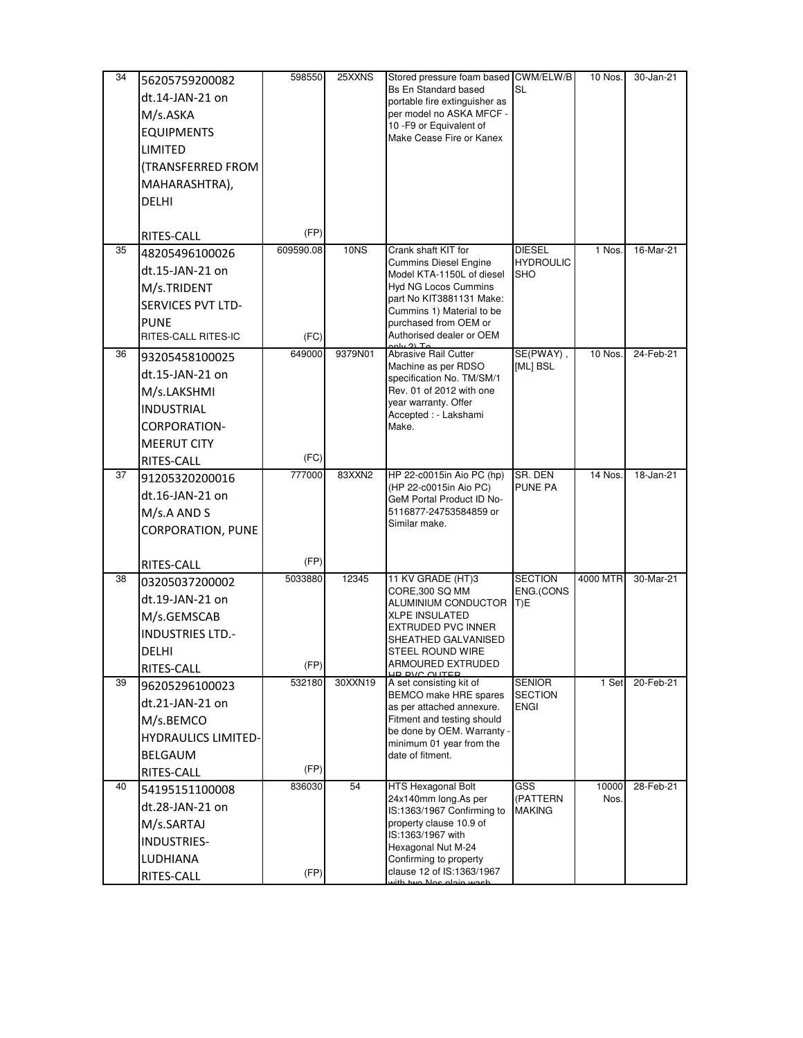| 34 | 56205759200082             | 598550    | 25XXNS  | Stored pressure foam based CWM/ELW/B                         |                                   | 10 Nos.       | 30-Jan-21 |
|----|----------------------------|-----------|---------|--------------------------------------------------------------|-----------------------------------|---------------|-----------|
|    | dt.14-JAN-21 on            |           |         | <b>Bs En Standard based</b><br>portable fire extinguisher as | <b>SL</b>                         |               |           |
|    | M/s.ASKA                   |           |         | per model no ASKA MFCF -                                     |                                   |               |           |
|    | <b>EQUIPMENTS</b>          |           |         | 10 - F9 or Equivalent of                                     |                                   |               |           |
|    | LIMITED                    |           |         | Make Cease Fire or Kanex                                     |                                   |               |           |
|    | (TRANSFERRED FROM          |           |         |                                                              |                                   |               |           |
|    | MAHARASHTRA),              |           |         |                                                              |                                   |               |           |
|    | <b>DELHI</b>               |           |         |                                                              |                                   |               |           |
|    |                            |           |         |                                                              |                                   |               |           |
|    | <b>RITES-CALL</b>          | (FP)      |         |                                                              |                                   |               |           |
| 35 | 48205496100026             | 609590.08 | 10NS    | Crank shaft KIT for<br><b>Cummins Diesel Engine</b>          | <b>DIESEL</b><br><b>HYDROULIC</b> | 1 Nos.        | 16-Mar-21 |
|    | dt.15-JAN-21 on            |           |         | Model KTA-1150L of diesel                                    | SHO                               |               |           |
|    | M/s.TRIDENT                |           |         | <b>Hyd NG Locos Cummins</b>                                  |                                   |               |           |
|    | <b>SERVICES PVT LTD-</b>   |           |         | part No KIT3881131 Make:<br>Cummins 1) Material to be        |                                   |               |           |
|    | <b>PUNE</b>                |           |         | purchased from OEM or                                        |                                   |               |           |
|    | RITES-CALL RITES-IC        | (FC)      |         | Authorised dealer or OEM<br>$\bigcap$ $\top$ .               |                                   |               |           |
| 36 | 93205458100025             | 649000    | 9379N01 | Abrasive Rail Cutter<br>Machine as per RDSO                  | SE(PWAY),<br>[ML] BSL             | 10 Nos.       | 24-Feb-21 |
|    | dt.15-JAN-21 on            |           |         | specification No. TM/SM/1                                    |                                   |               |           |
|    | M/s.LAKSHMI                |           |         | Rev. 01 of 2012 with one                                     |                                   |               |           |
|    | <b>INDUSTRIAL</b>          |           |         | year warranty. Offer<br>Accepted : - Lakshami                |                                   |               |           |
|    | CORPORATION-               |           |         | Make.                                                        |                                   |               |           |
|    | <b>MEERUT CITY</b>         |           |         |                                                              |                                   |               |           |
|    | <b>RITES-CALL</b>          | (FC)      |         |                                                              |                                   |               |           |
| 37 | 91205320200016             | 777000    | 83XXN2  | HP 22-c0015in Aio PC (hp)<br>(HP 22-c0015in Aio PC)          | SR. DEN<br><b>PUNE PA</b>         | 14 Nos.       | 18-Jan-21 |
|    | dt.16-JAN-21 on            |           |         | GeM Portal Product ID No-                                    |                                   |               |           |
|    | M/s.A AND S                |           |         | 5116877-24753584859 or                                       |                                   |               |           |
|    | <b>CORPORATION, PUNE</b>   |           |         | Similar make.                                                |                                   |               |           |
|    |                            |           |         |                                                              |                                   |               |           |
|    | RITES-CALL                 | (FP)      |         |                                                              |                                   |               |           |
| 38 | 03205037200002             | 5033880   | 12345   | 11 KV GRADE (HT)3<br>CORE,300 SQ MM                          | <b>SECTION</b><br>ENG.(CONS       | 4000 MTR      | 30-Mar-21 |
|    | dt.19-JAN-21 on            |           |         | ALUMINIUM CONDUCTOR                                          | T)E                               |               |           |
|    | M/s.GEMSCAB                |           |         | <b>XLPE INSULATED</b>                                        |                                   |               |           |
|    | <b>INDUSTRIES LTD.-</b>    |           |         | EXTRUDED PVC INNER<br>SHEATHED GALVANISED                    |                                   |               |           |
|    | DELHI                      |           |         | STEEL ROUND WIRE                                             |                                   |               |           |
|    | RITES-CALL                 | (FP)      |         | <b>ARMOURED EXTRUDED</b><br>HE BVC OUTER                     |                                   |               |           |
| 39 | 96205296100023             | 532180    | 30XXN19 | A set consisting kit of<br>BEMCO make HRE spares             | <b>SENIOR</b><br><b>SECTION</b>   | 1 Set         | 20-Feb-21 |
|    | dt.21-JAN-21 on            |           |         | as per attached annexure.                                    | <b>ENGI</b>                       |               |           |
|    | M/s.BEMCO                  |           |         | Fitment and testing should                                   |                                   |               |           |
|    | <b>HYDRAULICS LIMITED-</b> |           |         | be done by OEM. Warranty -<br>minimum 01 year from the       |                                   |               |           |
|    | <b>BELGAUM</b>             |           |         | date of fitment.                                             |                                   |               |           |
|    | RITES-CALL                 | (FP)      |         |                                                              |                                   |               |           |
| 40 | 54195151100008             | 836030    | 54      | HTS Hexagonal Bolt<br>24x140mm long.As per                   | GSS<br>(PATTERN                   | 10000<br>Nos. | 28-Feb-21 |
|    | dt.28-JAN-21 on            |           |         | IS:1363/1967 Confirming to                                   | <b>MAKING</b>                     |               |           |
|    | M/s.SARTAJ                 |           |         | property clause 10.9 of<br>IS:1363/1967 with                 |                                   |               |           |
|    | <b>INDUSTRIES-</b>         |           |         | Hexagonal Nut M-24                                           |                                   |               |           |
|    | <b>LUDHIANA</b>            |           |         | Confirming to property                                       |                                   |               |           |
|    | RITES-CALL                 | (FP)      |         | clause 12 of IS:1363/1967<br>طمويين وتأملوا وملائل ويبط      |                                   |               |           |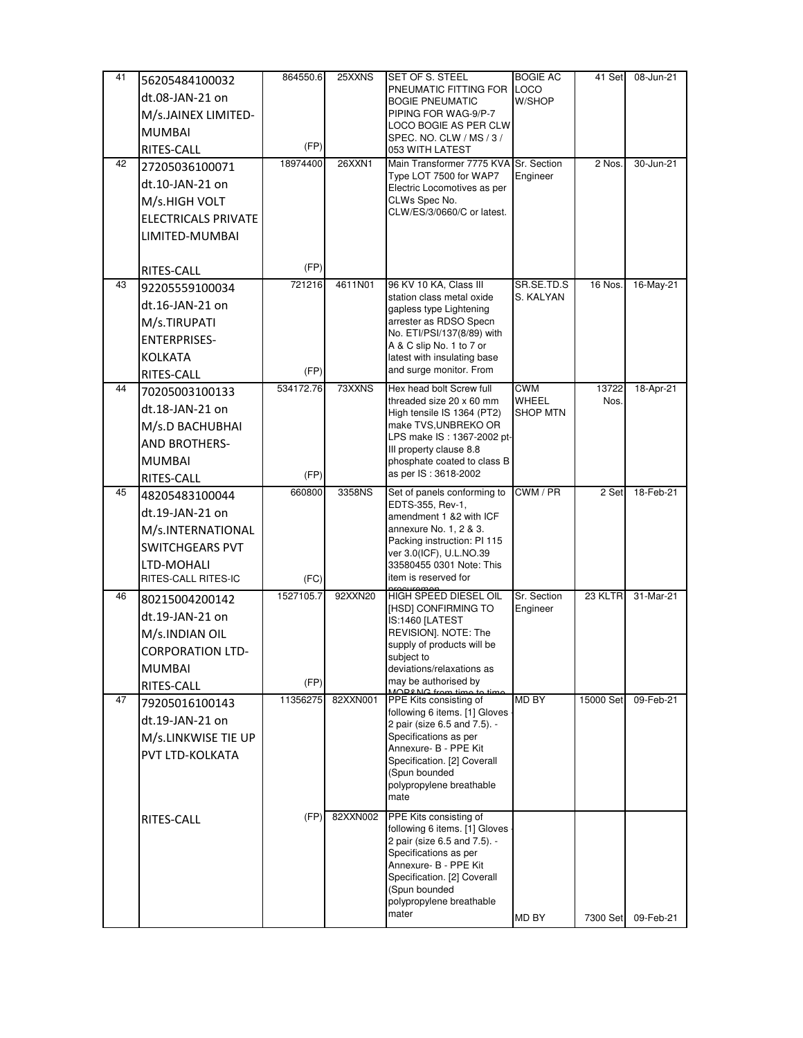| 41 | 56205484100032             | 864550.6  | 25XXNS   | SET OF S. STEEL                                               | <b>BOGIE AC</b>          | 41 Set    | 08-Jun-21 |
|----|----------------------------|-----------|----------|---------------------------------------------------------------|--------------------------|-----------|-----------|
|    | dt.08-JAN-21 on            |           |          | PNEUMATIC FITTING FOR                                         | <b>LOCO</b>              |           |           |
|    | M/s.JAINEX LIMITED-        |           |          | <b>BOGIE PNEUMATIC</b><br>PIPING FOR WAG-9/P-7                | W/SHOP                   |           |           |
|    | <b>MUMBAI</b>              |           |          | LOCO BOGIE AS PER CLW                                         |                          |           |           |
|    | RITES-CALL                 | (FP)      |          | SPEC. NO. CLW / MS / 3 /                                      |                          |           |           |
| 42 | 27205036100071             | 18974400  | 26XXN1   | 053 WITH LATEST<br>Main Transformer 7775 KVA                  | Sr. Section              | 2 Nos.    | 30-Jun-21 |
|    | dt.10-JAN-21 on            |           |          | Type LOT 7500 for WAP7                                        | Engineer                 |           |           |
|    | M/s.HIGH VOLT              |           |          | Electric Locomotives as per<br>CLWs Spec No.                  |                          |           |           |
|    |                            |           |          | CLW/ES/3/0660/C or latest.                                    |                          |           |           |
|    | <b>ELECTRICALS PRIVATE</b> |           |          |                                                               |                          |           |           |
|    | LIMITED-MUMBAI             |           |          |                                                               |                          |           |           |
|    | <b>RITES-CALL</b>          | (FP)      |          |                                                               |                          |           |           |
| 43 | 92205559100034             | 721216    | 4611N01  | 96 KV 10 KA, Class III                                        | SR.SE.TD.S               | 16 Nos.   | 16-May-21 |
|    | dt.16-JAN-21 on            |           |          | station class metal oxide<br>gapless type Lightening          | S. KALYAN                |           |           |
|    | M/s.TIRUPATI               |           |          | arrester as RDSO Specn                                        |                          |           |           |
|    | <b>ENTERPRISES-</b>        |           |          | No. ETI/PSI/137(8/89) with                                    |                          |           |           |
|    | <b>KOLKATA</b>             |           |          | A & C slip No. 1 to 7 or<br>latest with insulating base       |                          |           |           |
|    | RITES-CALL                 | (FP)      |          | and surge monitor. From                                       |                          |           |           |
| 44 | 70205003100133             | 534172.76 | 73XXNS   | Hex head bolt Screw full                                      | CWM                      | 13722     | 18-Apr-21 |
|    | dt.18-JAN-21 on            |           |          | threaded size 20 x 60 mm<br>High tensile IS 1364 (PT2)        | WHEEL<br><b>SHOP MTN</b> | Nos.      |           |
|    | M/s.D BACHUBHAI            |           |          | make TVS, UNBREKO OR                                          |                          |           |           |
|    | AND BROTHERS-              |           |          | LPS make IS: 1367-2002 pt-                                    |                          |           |           |
|    | <b>MUMBAI</b>              |           |          | III property clause 8.8<br>phosphate coated to class B        |                          |           |           |
|    | RITES-CALL                 | (FP)      |          | as per IS: 3618-2002                                          |                          |           |           |
| 45 | 48205483100044             | 660800    | 3358NS   | Set of panels conforming to                                   | CWM / PR                 | 2 Set     | 18-Feb-21 |
|    | dt.19-JAN-21 on            |           |          | EDTS-355, Rev-1,                                              |                          |           |           |
|    | M/s.INTERNATIONAL          |           |          | amendment 1 &2 with ICF<br>annexure No. 1, 2 & 3.             |                          |           |           |
|    | <b>SWITCHGEARS PVT</b>     |           |          | Packing instruction: PI 115                                   |                          |           |           |
|    | LTD-MOHALI                 |           |          | ver 3.0(ICF), U.L.NO.39<br>33580455 0301 Note: This           |                          |           |           |
|    | RITES-CALL RITES-IC        | (FC)      |          | item is reserved for                                          |                          |           |           |
| 46 | 80215004200142             | 1527105.7 | 92XXN20  | <b>HIGH SPEED DIESEL OIL</b>                                  | Sr. Section              | 23 KLTR   | 31-Mar-21 |
|    | dt.19-JAN-21 on            |           |          | [HSD] CONFIRMING TO                                           | Engineer                 |           |           |
|    | M/s.INDIAN OIL             |           |          | IS:1460 [LATEST<br>REVISION]. NOTE: The                       |                          |           |           |
|    | <b>CORPORATION LTD-</b>    |           |          | supply of products will be                                    |                          |           |           |
|    | <b>MUMBAI</b>              |           |          | subject to<br>deviations/relaxations as                       |                          |           |           |
|    | RITES-CALL                 | (FP)      |          | may be authorised by                                          |                          |           |           |
| 47 | 79205016100143             | 11356275  | 82XXN001 | MODONC from tir<br>PPE Kits consisting of                     | MD BY                    | 15000 Set | 09-Feb-21 |
|    | dt.19-JAN-21 on            |           |          | following 6 items. [1] Gloves                                 |                          |           |           |
|    | M/s.LINKWISE TIE UP        |           |          | 2 pair (size 6.5 and 7.5). -<br>Specifications as per         |                          |           |           |
|    | <b>PVT LTD-KOLKATA</b>     |           |          | Annexure- B - PPE Kit                                         |                          |           |           |
|    |                            |           |          | Specification. [2] Coverall<br>(Spun bounded                  |                          |           |           |
|    |                            |           |          | polypropylene breathable                                      |                          |           |           |
|    |                            |           |          | mate                                                          |                          |           |           |
|    | RITES-CALL                 | (FP)      | 82XXN002 | PPE Kits consisting of                                        |                          |           |           |
|    |                            |           |          | following 6 items. [1] Gloves<br>2 pair (size 6.5 and 7.5). - |                          |           |           |
|    |                            |           |          | Specifications as per                                         |                          |           |           |
|    |                            |           |          | Annexure- B - PPE Kit                                         |                          |           |           |
|    |                            |           |          | Specification. [2] Coverall<br>(Spun bounded                  |                          |           |           |
|    |                            |           |          | polypropylene breathable                                      |                          |           |           |
|    |                            |           |          | mater                                                         | MD BY                    | 7300 Set  | 09-Feb-21 |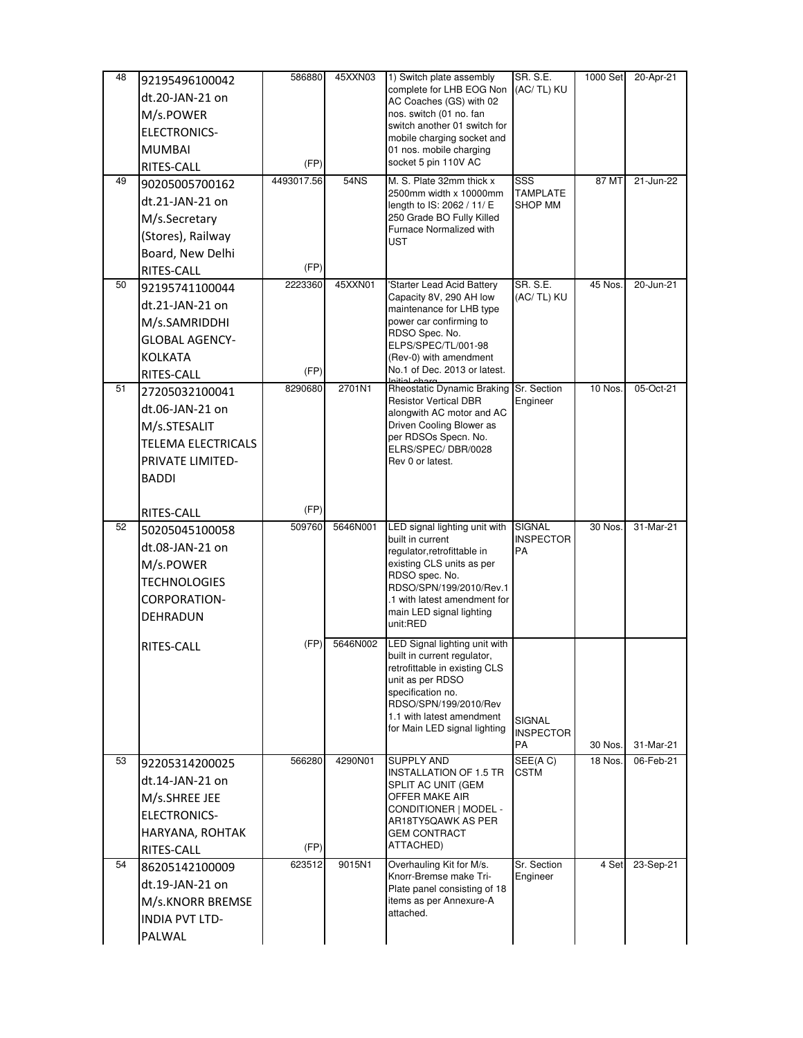| 48 | 92195496100042                   | 586880     | 45XXN03  | 1) Switch plate assembly                                     | <b>SR. S.E.</b>         | 1000 Set           | 20-Apr-21 |
|----|----------------------------------|------------|----------|--------------------------------------------------------------|-------------------------|--------------------|-----------|
|    | dt.20-JAN-21 on                  |            |          | complete for LHB EOG Non<br>AC Coaches (GS) with 02          | (AC/ TL) KU             |                    |           |
|    | M/s.POWER                        |            |          | nos. switch (01 no. fan                                      |                         |                    |           |
|    | <b>ELECTRONICS-</b>              |            |          | switch another 01 switch for<br>mobile charging socket and   |                         |                    |           |
|    | <b>MUMBAI</b>                    |            |          | 01 nos. mobile charging                                      |                         |                    |           |
|    | RITES-CALL                       | (FP)       |          | socket 5 pin 110V AC                                         |                         |                    |           |
| 49 | 90205005700162                   | 4493017.56 | 54NS     | M. S. Plate 32mm thick x<br>2500mm width x 10000mm           | SSS<br><b>TAMPLATE</b>  | 87 MT              | 21-Jun-22 |
|    | dt.21-JAN-21 on                  |            |          | length to IS: 2062 / 11/ E                                   | SHOP MM                 |                    |           |
|    | M/s.Secretary                    |            |          | 250 Grade BO Fully Killed                                    |                         |                    |           |
|    | (Stores), Railway                |            |          | Furnace Normalized with<br>UST                               |                         |                    |           |
|    | Board, New Delhi                 |            |          |                                                              |                         |                    |           |
|    | RITES-CALL                       | (FP)       |          |                                                              |                         |                    |           |
| 50 | 92195741100044                   | 2223360    | 45XXN01  | 'Starter Lead Acid Battery<br>Capacity 8V, 290 AH low        | SR. S.E.<br>(AC/TL) KU  | 45 Nos.            | 20-Jun-21 |
|    | dt.21-JAN-21 on                  |            |          | maintenance for LHB type                                     |                         |                    |           |
|    | M/s.SAMRIDDHI                    |            |          | power car confirming to<br>RDSO Spec. No.                    |                         |                    |           |
|    | <b>GLOBAL AGENCY-</b>            |            |          | ELPS/SPEC/TL/001-98                                          |                         |                    |           |
|    | <b>KOLKATA</b>                   |            |          | (Rev-0) with amendment                                       |                         |                    |           |
|    | RITES-CALL                       | (FP)       |          | No.1 of Dec. 2013 or latest.                                 |                         |                    |           |
| 51 | 27205032100041                   | 8290680    | 2701N1   | Rheostatic Dynamic Braking<br><b>Resistor Vertical DBR</b>   | Sr. Section<br>Engineer | 10 Nos.            | 05-Oct-21 |
|    | dt.06-JAN-21 on                  |            |          | alongwith AC motor and AC                                    |                         |                    |           |
|    | M/s.STESALIT                     |            |          | Driven Cooling Blower as<br>per RDSOs Specn. No.             |                         |                    |           |
|    | <b>TELEMA ELECTRICALS</b>        |            |          | ELRS/SPEC/DBR/0028                                           |                         |                    |           |
|    | PRIVATE LIMITED-                 |            |          | Rev 0 or latest.                                             |                         |                    |           |
|    | <b>BADDI</b>                     |            |          |                                                              |                         |                    |           |
|    |                                  | (FP)       |          |                                                              |                         |                    |           |
| 52 | RITES-CALL<br>50205045100058     | 509760     | 5646N001 | LED signal lighting unit with                                | <b>SIGNAL</b>           | 30 Nos.            | 31-Mar-21 |
|    | dt.08-JAN-21 on                  |            |          | built in current                                             | <b>INSPECTOR</b>        |                    |           |
|    | M/s.POWER                        |            |          | regulator,retrofittable in<br>existing CLS units as per      | PA                      |                    |           |
|    | <b>TECHNOLOGIES</b>              |            |          | RDSO spec. No.                                               |                         |                    |           |
|    | <b>CORPORATION-</b>              |            |          | RDSO/SPN/199/2010/Rev.1<br>.1 with latest amendment for      |                         |                    |           |
|    | DEHRADUN                         |            |          | main LED signal lighting                                     |                         |                    |           |
|    |                                  |            |          | unit:RED                                                     |                         |                    |           |
|    | RITES-CALL                       | (FP)       | 5646N002 | LED Signal lighting unit with                                |                         |                    |           |
|    |                                  |            |          | built in current regulator,<br>retrofittable in existing CLS |                         |                    |           |
|    |                                  |            |          | unit as per RDSO                                             |                         |                    |           |
|    |                                  |            |          | specification no.<br>RDSO/SPN/199/2010/Rev                   |                         |                    |           |
|    |                                  |            |          | 1.1 with latest amendment                                    | SIGNAL                  |                    |           |
|    |                                  |            |          | for Main LED signal lighting                                 | <b>INSPECTOR</b>        |                    | 31-Mar-21 |
| 53 |                                  | 566280     | 4290N01  | <b>SUPPLY AND</b>                                            | PA<br>SEE(AC)           | 30 Nos.<br>18 Nos. | 06-Feb-21 |
|    | 92205314200025                   |            |          | <b>INSTALLATION OF 1.5 TR</b>                                | CSTM                    |                    |           |
|    | dt.14-JAN-21 on<br>M/s.SHREE JEE |            |          | SPLIT AC UNIT (GEM<br>OFFER MAKE AIR                         |                         |                    |           |
|    | ELECTRONICS-                     |            |          | CONDITIONER   MODEL -                                        |                         |                    |           |
|    |                                  |            |          | AR18TY5QAWK AS PER<br>GEM CONTRACT                           |                         |                    |           |
|    | HARYANA, ROHTAK<br>RITES-CALL    | (FP)       |          | ATTACHED)                                                    |                         |                    |           |
| 54 | 86205142100009                   | 623512     | 9015N1   | Overhauling Kit for M/s.                                     | Sr. Section             | 4 Set              | 23-Sep-21 |
|    | dt.19-JAN-21 on                  |            |          | Knorr-Bremse make Tri-                                       | Engineer                |                    |           |
|    | M/s.KNORR BREMSE                 |            |          | Plate panel consisting of 18<br>items as per Annexure-A      |                         |                    |           |
|    | <b>INDIA PVT LTD-</b>            |            |          | attached.                                                    |                         |                    |           |
|    | PALWAL                           |            |          |                                                              |                         |                    |           |
|    |                                  |            |          |                                                              |                         |                    |           |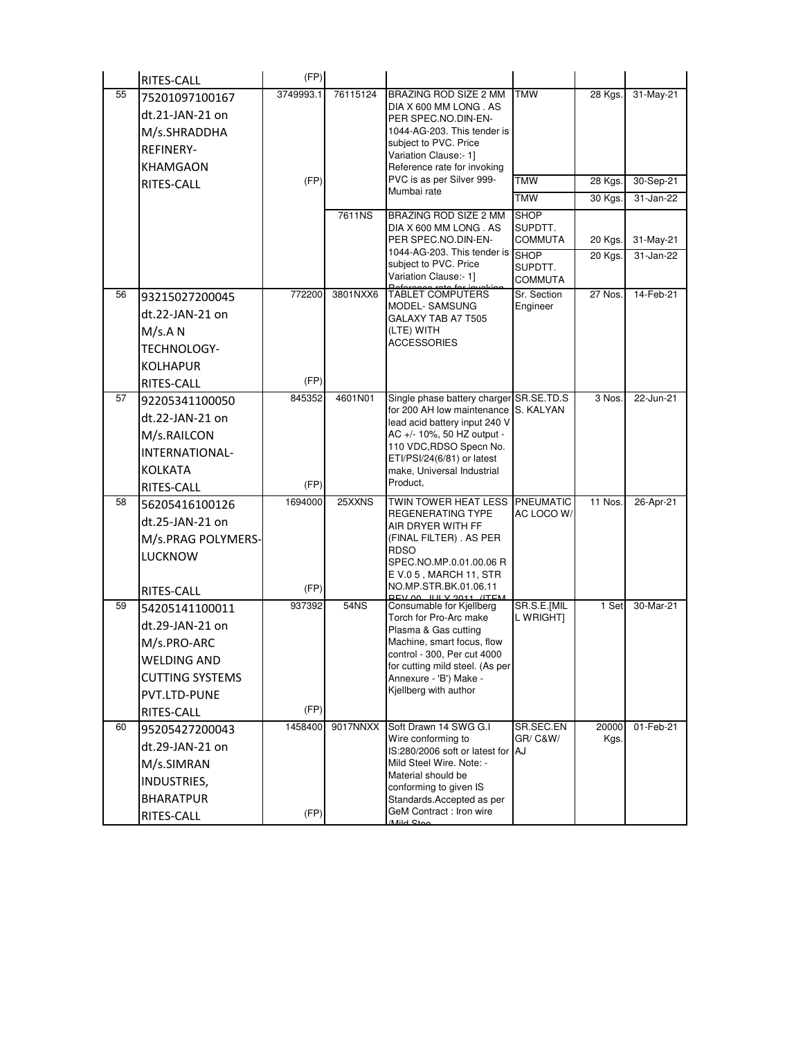|    | RITES-CALL             | (FP)      |          |                                                                |                           |               |               |
|----|------------------------|-----------|----------|----------------------------------------------------------------|---------------------------|---------------|---------------|
| 55 | 75201097100167         | 3749993.1 | 76115124 | BRAZING ROD SIZE 2 MM                                          | <b>TMW</b>                | 28 Kgs.       | 31-May-21     |
|    | dt.21-JAN-21 on        |           |          | DIA X 600 MM LONG . AS<br>PER SPEC.NO.DIN-EN-                  |                           |               |               |
|    | M/s.SHRADDHA           |           |          | 1044-AG-203. This tender is                                    |                           |               |               |
|    | <b>REFINERY-</b>       |           |          | subject to PVC. Price<br>Variation Clause:- 1]                 |                           |               |               |
|    | <b>KHAMGAON</b>        |           |          | Reference rate for invoking                                    |                           |               |               |
|    | RITES-CALL             | (FP)      |          | PVC is as per Silver 999-<br>Mumbai rate                       | <b>TMW</b>                | 28 Kgs.       | 30-Sep-21     |
|    |                        |           |          |                                                                | <b>TMW</b>                | 30 Kgs.       | 31-Jan-22     |
|    |                        |           | 7611NS   | BRAZING ROD SIZE 2 MM                                          | <b>SHOP</b><br>SUPDTT.    |               |               |
|    |                        |           |          | DIA X 600 MM LONG . AS<br>PER SPEC.NO.DIN-EN-                  | <b>COMMUTA</b>            | 20 Kgs.       | 31-May-21     |
|    |                        |           |          | 1044-AG-203. This tender is                                    | <b>SHOP</b>               | 20 Kgs.       | $31 - Jan-22$ |
|    |                        |           |          | subject to PVC. Price<br>Variation Clause:- 1]                 | SUPDTT.<br><b>COMMUTA</b> |               |               |
| 56 | 93215027200045         | 772200    | 3801NXX6 | <b>TABLET COMPUTERS</b>                                        | Sr. Section               | 27 Nos.       | 14-Feb-21     |
|    | dt.22-JAN-21 on        |           |          | MODEL-SAMSUNG<br>GALAXY TAB A7 T505                            | Engineer                  |               |               |
|    | M/s.A N                |           |          | (LTE) WITH                                                     |                           |               |               |
|    | TECHNOLOGY-            |           |          | ACCESSORIES                                                    |                           |               |               |
|    | <b>KOLHAPUR</b>        |           |          |                                                                |                           |               |               |
|    | RITES-CALL             | (FP)      |          |                                                                |                           |               |               |
| 57 | 92205341100050         | 845352    | 4601N01  | Single phase battery charger SR SE TD S                        |                           | 3 Nos.        | 22-Jun-21     |
|    | dt.22-JAN-21 on        |           |          | for 200 AH low maintenance<br>lead acid battery input 240 V    | S. KALYAN                 |               |               |
|    | M/s.RAILCON            |           |          | AC +/- 10%, 50 HZ output -                                     |                           |               |               |
|    | INTERNATIONAL-         |           |          | 110 VDC, RDSO Specn No.<br>ETI/PSI/24(6/81) or latest          |                           |               |               |
|    | <b>KOLKATA</b>         |           |          | make, Universal Industrial                                     |                           |               |               |
|    | RITES-CALL             | (FP)      |          | Product,                                                       |                           |               |               |
| 58 | 56205416100126         | 1694000   | 25XXNS   | TWIN TOWER HEAT LESS                                           | <b>PNEUMATIC</b>          | 11 Nos.       | 26-Apr-21     |
|    | dt.25-JAN-21 on        |           |          | REGENERATING TYPE<br>AIR DRYER WITH FF                         | AC LOCO W/                |               |               |
|    | M/s.PRAG POLYMERS-     |           |          | (FINAL FILTER). AS PER                                         |                           |               |               |
|    | <b>LUCKNOW</b>         |           |          | <b>RDSO</b><br>SPEC.NO.MP.0.01.00.06 R                         |                           |               |               |
|    |                        |           |          | EV.05, MARCH 11, STR                                           |                           |               |               |
|    | RITES-CALL             | (FP)      |          | NO.MP.STR.BK.01.06.11<br>$00 \text{ H} \times 2011$            |                           |               |               |
| 59 | 54205141100011         | 937392    | 54NS     | Consumable for Kjellberg<br>Torch for Pro-Arc make             | SR.S.E.[MIL<br>l Wright)  | 1 Set         | 30-Mar-21     |
|    | dt.29-JAN-21 on        |           |          | Plasma & Gas cutting                                           |                           |               |               |
|    | M/s.PRO-ARC            |           |          | Machine, smart focus, flow                                     |                           |               |               |
|    | <b>WELDING AND</b>     |           |          | control - 300, Per cut 4000<br>for cutting mild steel. (As per |                           |               |               |
|    | <b>CUTTING SYSTEMS</b> |           |          | Annexure - 'B') Make -                                         |                           |               |               |
|    | PVT.LTD-PUNE           |           |          | Kjellberg with author                                          |                           |               |               |
|    | RITES-CALL             | (FP)      |          |                                                                |                           |               |               |
| 60 | 95205427200043         | 1458400   | 9017NNXX | Soft Drawn 14 SWG G.I<br>Wire conforming to                    | SR.SEC.EN<br>GR/ C&W/     | 20000<br>Kgs. | 01-Feb-21     |
|    | dt.29-JAN-21 on        |           |          | IS:280/2006 soft or latest for AJ                              |                           |               |               |
|    | M/s.SIMRAN             |           |          | Mild Steel Wire, Note: -<br>Material should be                 |                           |               |               |
|    | INDUSTRIES,            |           |          | conforming to given IS                                         |                           |               |               |
|    | <b>BHARATPUR</b>       |           |          | Standards Accepted as per<br>GeM Contract: Iron wire           |                           |               |               |
|    | RITES-CALL             | (FP)      |          | MildCto                                                        |                           |               |               |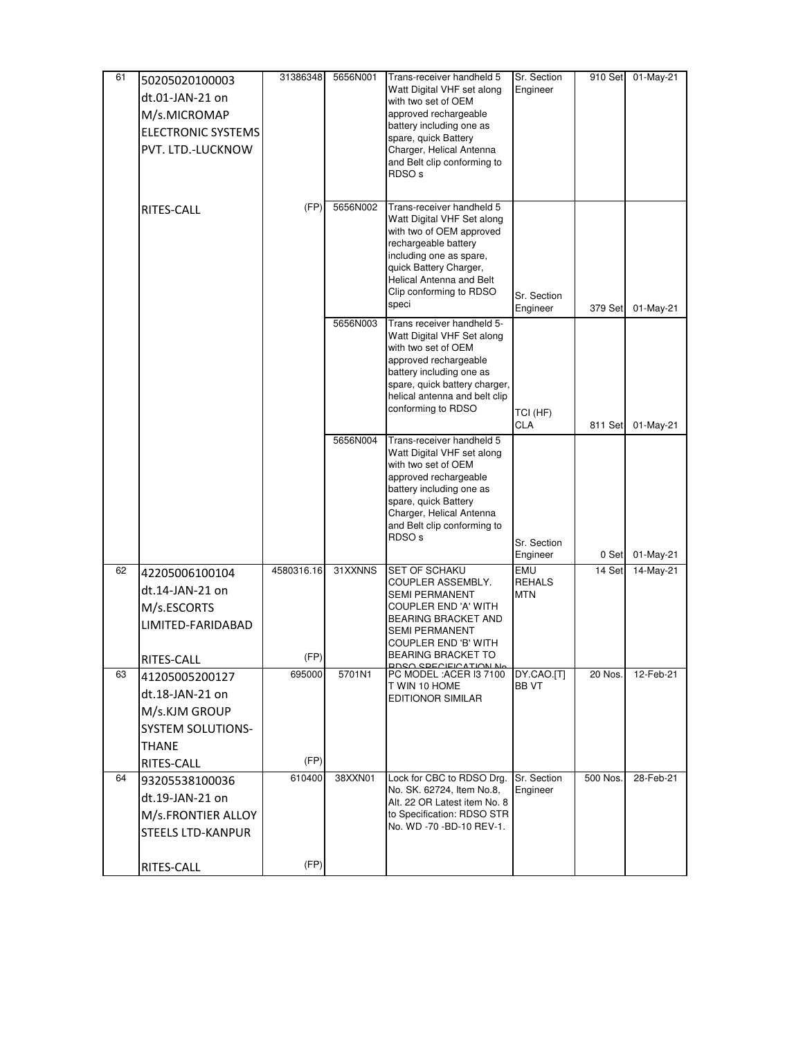| 61 | 50205020100003            | 31386348   | 5656N001 | Trans-receiver handheld 5                               | Sr. Section               | 910 Set  | 01-May-21 |
|----|---------------------------|------------|----------|---------------------------------------------------------|---------------------------|----------|-----------|
|    | dt.01-JAN-21 on           |            |          | Watt Digital VHF set along<br>with two set of OEM       | Engineer                  |          |           |
|    | M/s.MICROMAP              |            |          | approved rechargeable                                   |                           |          |           |
|    | <b>ELECTRONIC SYSTEMS</b> |            |          | battery including one as                                |                           |          |           |
|    | PVT. LTD.-LUCKNOW         |            |          | spare, quick Battery<br>Charger, Helical Antenna        |                           |          |           |
|    |                           |            |          | and Belt clip conforming to                             |                           |          |           |
|    |                           |            |          | RDSO <sub>s</sub>                                       |                           |          |           |
|    |                           |            |          |                                                         |                           |          |           |
|    | RITES-CALL                | (FP)       | 5656N002 | Trans-receiver handheld 5<br>Watt Digital VHF Set along |                           |          |           |
|    |                           |            |          | with two of OEM approved                                |                           |          |           |
|    |                           |            |          | rechargeable battery                                    |                           |          |           |
|    |                           |            |          | including one as spare,<br>quick Battery Charger,       |                           |          |           |
|    |                           |            |          | Helical Antenna and Belt                                |                           |          |           |
|    |                           |            |          | Clip conforming to RDSO<br>speci                        | Sr. Section               |          |           |
|    |                           |            | 5656N003 | Trans receiver handheld 5-                              | Engineer                  | 379 Set  | 01-May-21 |
|    |                           |            |          | Watt Digital VHF Set along                              |                           |          |           |
|    |                           |            |          | with two set of OEM                                     |                           |          |           |
|    |                           |            |          | approved rechargeable<br>battery including one as       |                           |          |           |
|    |                           |            |          | spare, quick battery charger,                           |                           |          |           |
|    |                           |            |          | helical antenna and belt clip<br>conforming to RDSO     |                           |          |           |
|    |                           |            |          |                                                         | TCI (HF)<br>CLA           | 811 Set  | 01-May-21 |
|    |                           |            | 5656N004 | Trans-receiver handheld 5                               |                           |          |           |
|    |                           |            |          | Watt Digital VHF set along                              |                           |          |           |
|    |                           |            |          | with two set of OEM<br>approved rechargeable            |                           |          |           |
|    |                           |            |          | battery including one as                                |                           |          |           |
|    |                           |            |          | spare, quick Battery<br>Charger, Helical Antenna        |                           |          |           |
|    |                           |            |          | and Belt clip conforming to                             |                           |          |           |
|    |                           |            |          | RDSO <sub>s</sub>                                       | Sr. Section               |          |           |
|    |                           |            |          |                                                         | Engineer                  | 0 Set    | 01-May-21 |
| 62 | 42205006100104            | 4580316.16 | 31XXNNS  | SET OF SCHAKU<br>COUPLER ASSEMBLY.                      | EMU<br><b>REHALS</b>      | 14 Set   | 14-May-21 |
|    | dt.14-JAN-21 on           |            |          | <b>SEMI PERMANENT</b>                                   | <b>MTN</b>                |          |           |
|    | M/s.ESCORTS               |            |          | COUPLER END 'A' WITH<br>BEARING BRACKET AND             |                           |          |           |
|    | LIMITED-FARIDABAD         |            |          | SEMI PERMANENT                                          |                           |          |           |
|    |                           |            |          | COUPLER END 'B' WITH                                    |                           |          |           |
|    | RITES-CALL                | (FP)       |          | BEARING BRACKET TO<br><b>DDSO SPECIFICATION No</b>      |                           |          |           |
| 63 | 41205005200127            | 695000     | 5701N1   | PC MODEL: ACER I3 7100<br>T WIN 10 HOME                 | DY.CAO.[T]<br><b>BBVT</b> | 20 Nos.  | 12-Feb-21 |
|    | dt.18-JAN-21 on           |            |          | EDITIONOR SIMILAR                                       |                           |          |           |
|    | M/s.KJM GROUP             |            |          |                                                         |                           |          |           |
|    | <b>SYSTEM SOLUTIONS-</b>  |            |          |                                                         |                           |          |           |
|    | THANE                     |            |          |                                                         |                           |          |           |
|    | RITES-CALL                | (FP)       |          |                                                         |                           |          |           |
| 64 | 93205538100036            | 610400     | 38XXN01  | Lock for CBC to RDSO Drg.<br>No. SK. 62724, Item No.8,  | Sr. Section<br>Engineer   | 500 Nos. | 28-Feb-21 |
|    | dt.19-JAN-21 on           |            |          | Alt. 22 OR Latest item No. 8                            |                           |          |           |
|    | M/s.FRONTIER ALLOY        |            |          | to Specification: RDSO STR<br>No. WD -70 -BD-10 REV-1.  |                           |          |           |
|    | STEELS LTD-KANPUR         |            |          |                                                         |                           |          |           |
|    |                           |            |          |                                                         |                           |          |           |
|    | RITES-CALL                | (FP)       |          |                                                         |                           |          |           |